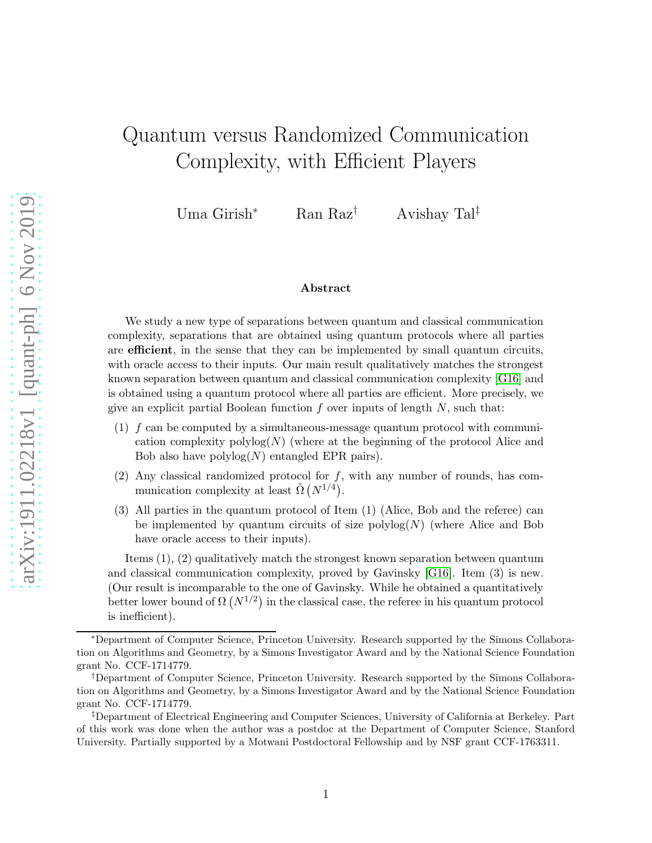# Quantum versus Randomized Communication Complexity, with Efficient Players

Uma Girish<sup>∗</sup> Ran Raz† Avishay Tal‡

#### Abstract

We study a new type of separations between quantum and classical communication complexity, separations that are obtained using quantum protocols where all parties are efficient, in the sense that they can be implemented by small quantum circuits, with oracle access to their inputs. Our main result qualitatively matches the strongest known separation between quantum and classical communication complexity [\[G16\]](#page-30-0) and is obtained using a quantum protocol where all parties are efficient. More precisely, we give an explicit partial Boolean function  $f$  over inputs of length  $N$ , such that:

- $(1)$  f can be computed by a simultaneous-message quantum protocol with communication complexity  $\text{polylog}(N)$  (where at the beginning of the protocol Alice and Bob also have  $\text{polylog}(N)$  entangled EPR pairs).
- (2) Any classical randomized protocol for  $f$ , with any number of rounds, has communication complexity at least  $\tilde{\Omega}(N^{1/4})$ .
- (3) All parties in the quantum protocol of Item (1) (Alice, Bob and the referee) can be implemented by quantum circuits of size  $\text{polylog}(N)$  (where Alice and Bob have oracle access to their inputs).

Items (1), (2) qualitatively match the strongest known separation between quantum and classical communication complexity, proved by Gavinsky [\[G16\]](#page-30-0). Item (3) is new. (Our result is incomparable to the one of Gavinsky. While he obtained a quantitatively better lower bound of  $\Omega (N^{1/2})$  in the classical case, the referee in his quantum protocol is inefficient).

<sup>∗</sup>Department of Computer Science, Princeton University. Research supported by the Simons Collaboration on Algorithms and Geometry, by a Simons Investigator Award and by the National Science Foundation grant No. CCF-1714779.

<sup>†</sup>Department of Computer Science, Princeton University. Research supported by the Simons Collaboration on Algorithms and Geometry, by a Simons Investigator Award and by the National Science Foundation grant No. CCF-1714779.

<sup>‡</sup>Department of Electrical Engineering and Computer Sciences, University of California at Berkeley. Part of this work was done when the author was a postdoc at the Department of Computer Science, Stanford University. Partially supported by a Motwani Postdoctoral Fellowship and by NSF grant CCF-1763311.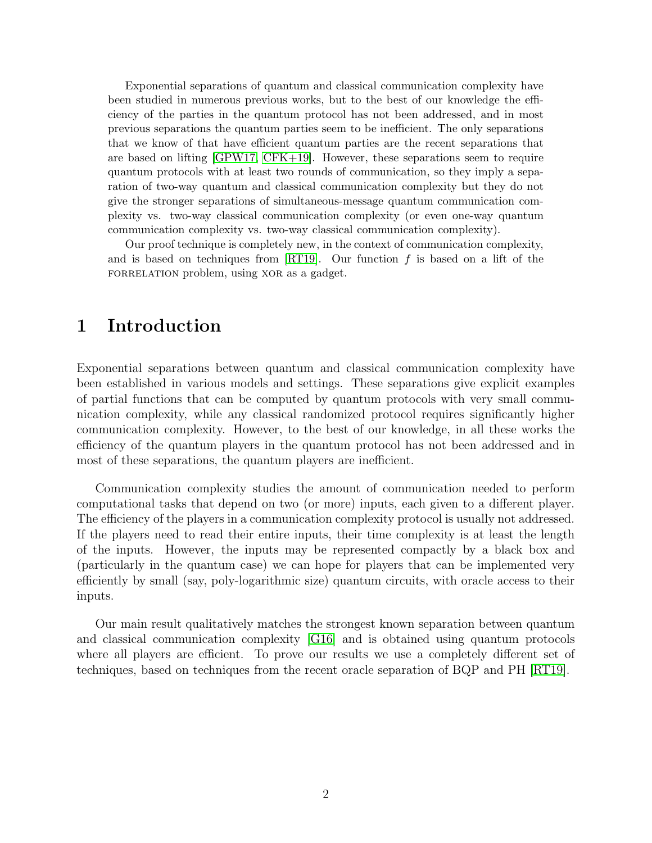Exponential separations of quantum and classical communication complexity have been studied in numerous previous works, but to the best of our knowledge the efficiency of the parties in the quantum protocol has not been addressed, and in most previous separations the quantum parties seem to be inefficient. The only separations that we know of that have efficient quantum parties are the recent separations that are based on lifting [\[GPW17,](#page-30-1) [CFK+19\]](#page-29-0). However, these separations seem to require quantum protocols with at least two rounds of communication, so they imply a separation of two-way quantum and classical communication complexity but they do not give the stronger separations of simultaneous-message quantum communication complexity vs. two-way classical communication complexity (or even one-way quantum communication complexity vs. two-way classical communication complexity).

Our proof technique is completely new, in the context of communication complexity, and is based on techniques from  $[RT19]$ . Our function f is based on a lift of the FORRELATION problem, using XOR as a gadget.

### 1 Introduction

Exponential separations between quantum and classical communication complexity have been established in various models and settings. These separations give explicit examples of partial functions that can be computed by quantum protocols with very small communication complexity, while any classical randomized protocol requires significantly higher communication complexity. However, to the best of our knowledge, in all these works the efficiency of the quantum players in the quantum protocol has not been addressed and in most of these separations, the quantum players are inefficient.

Communication complexity studies the amount of communication needed to perform computational tasks that depend on two (or more) inputs, each given to a different player. The efficiency of the players in a communication complexity protocol is usually not addressed. If the players need to read their entire inputs, their time complexity is at least the length of the inputs. However, the inputs may be represented compactly by a black box and (particularly in the quantum case) we can hope for players that can be implemented very efficiently by small (say, poly-logarithmic size) quantum circuits, with oracle access to their inputs.

Our main result qualitatively matches the strongest known separation between quantum and classical communication complexity [\[G16\]](#page-30-0) and is obtained using quantum protocols where all players are efficient. To prove our results we use a completely different set of techniques, based on techniques from the recent oracle separation of BQP and PH [\[RT19\]](#page-30-2).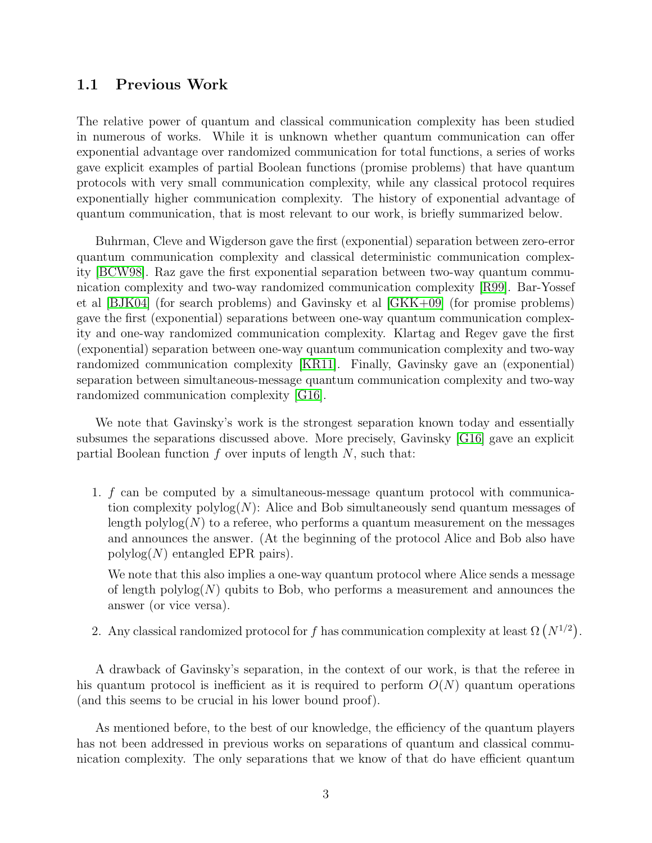#### 1.1 Previous Work

The relative power of quantum and classical communication complexity has been studied in numerous of works. While it is unknown whether quantum communication can offer exponential advantage over randomized communication for total functions, a series of works gave explicit examples of partial Boolean functions (promise problems) that have quantum protocols with very small communication complexity, while any classical protocol requires exponentially higher communication complexity. The history of exponential advantage of quantum communication, that is most relevant to our work, is briefly summarized below.

Buhrman, Cleve and Wigderson gave the first (exponential) separation between zero-error quantum communication complexity and classical deterministic communication complexity [\[BCW98\]](#page-29-1). Raz gave the first exponential separation between two-way quantum communication complexity and two-way randomized communication complexity [\[R99\]](#page-30-3). Bar-Yossef et al [\[BJK04\]](#page-29-2) (for search problems) and Gavinsky et al [\[GKK+09\]](#page-30-4) (for promise problems) gave the first (exponential) separations between one-way quantum communication complexity and one-way randomized communication complexity. Klartag and Regev gave the first (exponential) separation between one-way quantum communication complexity and two-way randomized communication complexity [\[KR11\]](#page-30-5). Finally, Gavinsky gave an (exponential) separation between simultaneous-message quantum communication complexity and two-way randomized communication complexity [\[G16\]](#page-30-0).

We note that Gavinsky's work is the strongest separation known today and essentially subsumes the separations discussed above. More precisely, Gavinsky [\[G16\]](#page-30-0) gave an explicit partial Boolean function  $f$  over inputs of length  $N$ , such that:

1. f can be computed by a simultaneous-message quantum protocol with communication complexity  $\text{polylog}(N)$ : Alice and Bob simultaneously send quantum messages of length polylog( $N$ ) to a referee, who performs a quantum measurement on the messages and announces the answer. (At the beginning of the protocol Alice and Bob also have  $polylog(N)$  entangled EPR pairs).

We note that this also implies a one-way quantum protocol where Alice sends a message of length  $\text{polylog}(N)$  qubits to Bob, who performs a measurement and announces the answer (or vice versa).

2. Any classical randomized protocol for f has communication complexity at least  $\Omega(N^{1/2})$ .

A drawback of Gavinsky's separation, in the context of our work, is that the referee in his quantum protocol is inefficient as it is required to perform  $O(N)$  quantum operations (and this seems to be crucial in his lower bound proof).

As mentioned before, to the best of our knowledge, the efficiency of the quantum players has not been addressed in previous works on separations of quantum and classical communication complexity. The only separations that we know of that do have efficient quantum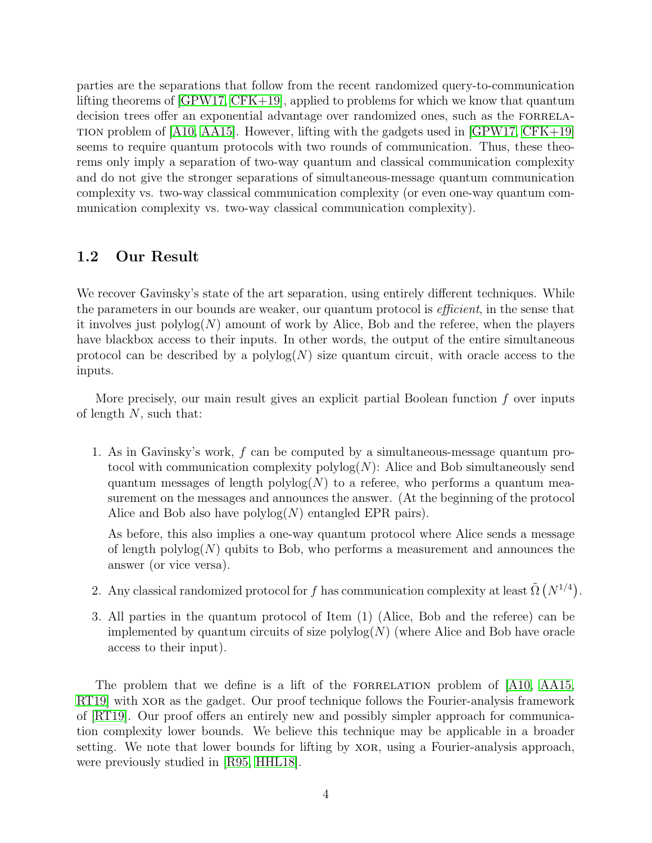parties are the separations that follow from the recent randomized query-to-communication lifting theorems of [\[GPW17,](#page-30-1) [CFK+19\]](#page-29-0), applied to problems for which we know that quantum decision trees offer an exponential advantage over randomized ones, such as the FORRELA-TION problem of  $[A10, A415]$ . However, lifting with the gadgets used in  $[GPW17, CFK+19]$  $[GPW17, CFK+19]$ seems to require quantum protocols with two rounds of communication. Thus, these theorems only imply a separation of two-way quantum and classical communication complexity and do not give the stronger separations of simultaneous-message quantum communication complexity vs. two-way classical communication complexity (or even one-way quantum communication complexity vs. two-way classical communication complexity).

#### 1.2 Our Result

We recover Gavinsky's state of the art separation, using entirely different techniques. While the parameters in our bounds are weaker, our quantum protocol is *efficient*, in the sense that it involves just  $polylog(N)$  amount of work by Alice, Bob and the referee, when the players have blackbox access to their inputs. In other words, the output of the entire simultaneous protocol can be described by a  $\text{polylog}(N)$  size quantum circuit, with oracle access to the inputs.

More precisely, our main result gives an explicit partial Boolean function  $f$  over inputs of length  $N$ , such that:

1. As in Gavinsky's work, f can be computed by a simultaneous-message quantum protocol with communication complexity  $\text{polylog}(N)$ : Alice and Bob simultaneously send quantum messages of length  $polylog(N)$  to a referee, who performs a quantum measurement on the messages and announces the answer. (At the beginning of the protocol Alice and Bob also have  $\text{polylog}(N)$  entangled EPR pairs).

As before, this also implies a one-way quantum protocol where Alice sends a message of length polylog $(N)$  qubits to Bob, who performs a measurement and announces the answer (or vice versa).

- 2. Any classical randomized protocol for f has communication complexity at least  $\tilde{\Omega}(N^{1/4})$ .
- 3. All parties in the quantum protocol of Item (1) (Alice, Bob and the referee) can be implemented by quantum circuits of size  $\text{polylog}(N)$  (where Alice and Bob have oracle access to their input).

The problem that we define is a lift of the FORRELATION problem of [\[A10,](#page-29-3) [AA15,](#page-29-4) RT19 with xore as the gadget. Our proof technique follows the Fourier-analysis framework of [\[RT19\]](#page-30-2). Our proof offers an entirely new and possibly simpler approach for communication complexity lower bounds. We believe this technique may be applicable in a broader setting. We note that lower bounds for lifting by XOR, using a Fourier-analysis approach, were previously studied in [R95, HHL18].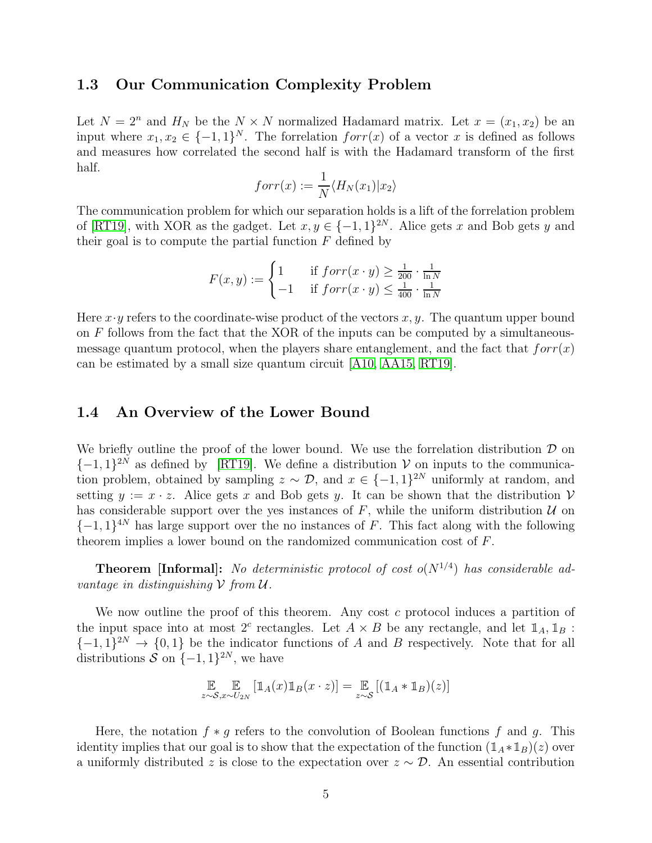#### 1.3 Our Communication Complexity Problem

Let  $N = 2^n$  and  $H_N$  be the  $N \times N$  normalized Hadamard matrix. Let  $x = (x_1, x_2)$  be an input where  $x_1, x_2 \in \{-1, 1\}^N$ . The forrelation  $forr(x)$  of a vector x is defined as follows and measures how correlated the second half is with the Hadamard transform of the first half.

$$
forr(x) := \frac{1}{N} \langle H_N(x_1) | x_2 \rangle
$$

The communication problem for which our separation holds is a lift of the forrelation problem of [\[RT19\]](#page-30-2), with XOR as the gadget. Let  $x, y \in \{-1, 1\}^{2N}$ . Alice gets x and Bob gets y and their goal is to compute the partial function  $F$  defined by

$$
F(x, y) := \begin{cases} 1 & \text{if } forr(x \cdot y) \ge \frac{1}{200} \cdot \frac{1}{\ln N} \\ -1 & \text{if } forr(x \cdot y) \le \frac{1}{400} \cdot \frac{1}{\ln N} \end{cases}
$$

Here  $x \cdot y$  refers to the coordinate-wise product of the vectors  $x, y$ . The quantum upper bound on  $F$  follows from the fact that the XOR of the inputs can be computed by a simultaneousmessage quantum protocol, when the players share entanglement, and the fact that  $forr(x)$ can be estimated by a small size quantum circuit [\[A10,](#page-29-3) [AA15,](#page-29-4) [RT19\]](#page-30-2).

#### 1.4 An Overview of the Lower Bound

We briefly outline the proof of the lower bound. We use the forrelation distribution  $\mathcal D$  on  $\{-1, 1\}^{2N}$  as defined by [\[RT19\]](#page-30-2). We define a distribution  $V$  on inputs to the communication problem, obtained by sampling  $z \sim \mathcal{D}$ , and  $x \in \{-1,1\}^{2N}$  uniformly at random, and setting  $y := x \cdot z$ . Alice gets x and Bob gets y. It can be shown that the distribution V has considerable support over the yes instances of  $F$ , while the uniform distribution  $U$  on  $\{-1,1\}^{4N}$  has large support over the no instances of F. This fact along with the following theorem implies a lower bound on the randomized communication cost of F.

**Theorem [Informal]:** No deterministic protocol of cost  $o(N^{1/4})$  has considerable advantage in distinguishing  $V$  from  $U$ .

We now outline the proof of this theorem. Any cost c protocol induces a partition of the input space into at most 2<sup>c</sup> rectangles. Let  $A \times B$  be any rectangle, and let  $\mathbb{1}_A$ ,  $\mathbb{1}_B$ :  $\{-1,1\}^{2N} \rightarrow \{0,1\}$  be the indicator functions of A and B respectively. Note that for all distributions  $S$  on  $\{-1,1\}^{2N}$ , we have

$$
\mathop{\mathbb{E}}_{z \sim \mathcal{S}, x \sim U_{2N}} \left[ \mathbb{1}_A(x) \mathbb{1}_B(x \cdot z) \right] = \mathop{\mathbb{E}}_{z \sim \mathcal{S}} \left[ (\mathbb{1}_A * \mathbb{1}_B)(z) \right]
$$

Here, the notation  $f * g$  refers to the convolution of Boolean functions f and g. This identity implies that our goal is to show that the expectation of the function  $(1_A * 1_B)(z)$  over a uniformly distributed z is close to the expectation over  $z \sim \mathcal{D}$ . An essential contribution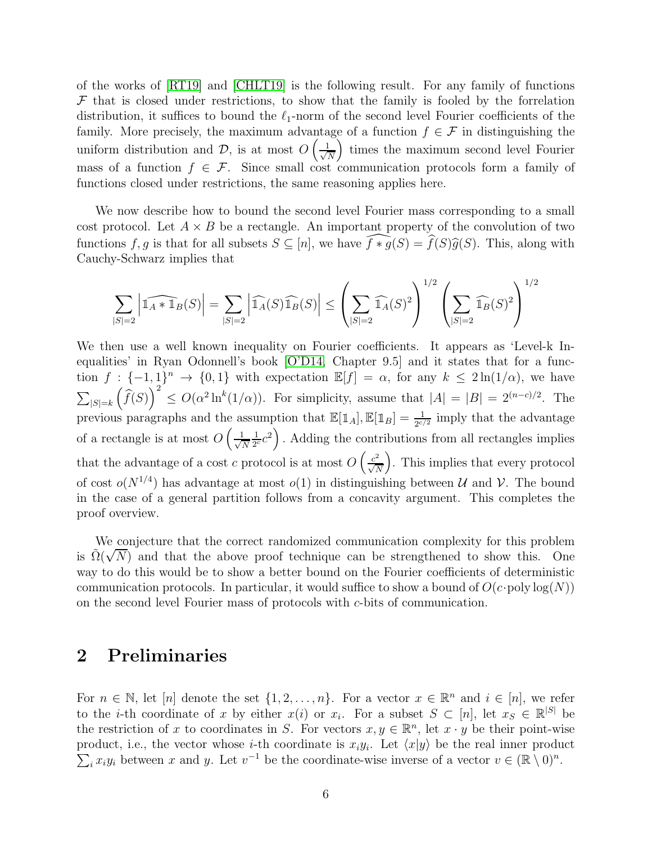of the works of [\[RT19\]](#page-30-2) and [\[CHLT19\]](#page-30-6) is the following result. For any family of functions  $\mathcal F$  that is closed under restrictions, to show that the family is fooled by the forrelation distribution, it suffices to bound the  $\ell_1$ -norm of the second level Fourier coefficients of the family. More precisely, the maximum advantage of a function  $f \in \mathcal{F}$  in distinguishing the uniform distribution and  $\mathcal{D}$ , is at most  $O\left(\frac{1}{\sqrt{l}}\right)$ N times the maximum second level Fourier mass of a function  $f \in \mathcal{F}$ . Since small cost communication protocols form a family of functions closed under restrictions, the same reasoning applies here.

We now describe how to bound the second level Fourier mass corresponding to a small cost protocol. Let  $A \times B$  be a rectangle. An important property of the convolution of two functions f, g is that for all subsets  $S \subseteq [n]$ , we have  $\widehat{f * g}(S) = \widehat{f}(S)\widehat{g}(S)$ . This, along with Cauchy-Schwarz implies that

$$
\sum_{|S|=2} \left|\widehat{\mathbb{1}_A*\mathbb{1}_B}(S)\right| = \sum_{|S|=2} \left|\widehat{\mathbb{1}_A}(S)\widehat{\mathbb{1}_B}(S)\right| \le \left(\sum_{|S|=2} \widehat{\mathbb{1}_A}(S)^2\right)^{1/2} \left(\sum_{|S|=2} \widehat{\mathbb{1}_B}(S)^2\right)^{1/2}
$$

We then use a well known inequality on Fourier coefficients. It appears as 'Level-k Inequalities' in Ryan Odonnell's book [\[O'D14,](#page-30-7) Chapter 9.5] and it states that for a function  $f: \{-1,1\}^n \to \{0,1\}$  with expectation  $\mathbb{E}[f] = \alpha$ , for any  $k \leq 2\ln(1/\alpha)$ , we have  $\sum_{|S|=k}$  $\left(\widehat{f}(S)\right)^2 \leq O(\alpha^2 \ln^k(1/\alpha))$ . For simplicity, assume that  $|A| = |B| = 2^{(n-c)/2}$ . The previous paragraphs and the assumption that  $\mathbb{E}[\mathbb{1}_A], \mathbb{E}[\mathbb{1}_B] = \frac{1}{2^{c/2}}$  imply that the advantage of a rectangle is at most  $O\left(\frac{1}{\sqrt{2}}\right)$ N 1  $\left(\frac{1}{2c}c^2\right)$ . Adding the contributions from all rectangles implies that the advantage of a cost c protocol is at most  $O\left(\frac{c^2}{\sqrt{2}}\right)$  $\sqrt{N}$  . This implies that every protocol of cost  $o(N^{1/4})$  has advantage at most  $o(1)$  in distinguishing between U and V. The bound in the case of a general partition follows from a concavity argument. This completes the proof overview.

We conjecture that the correct randomized communication complexity for this problem is  $\tilde{\Omega}(\sqrt{N})$  and that the above proof technique can be strengthened to show this. One way to do this would be to show a better bound on the Fourier coefficients of deterministic communication protocols. In particular, it would suffice to show a bound of  $O(c$  poly log(N)) on the second level Fourier mass of protocols with c-bits of communication.

### 2 Preliminaries

For  $n \in \mathbb{N}$ , let  $[n]$  denote the set  $\{1, 2, ..., n\}$ . For a vector  $x \in \mathbb{R}^n$  and  $i \in [n]$ , we refer to the *i*-th coordinate of x by either  $x(i)$  or  $x_i$ . For a subset  $S \subset [n]$ , let  $x_S \in \mathbb{R}^{|S|}$  be the restriction of x to coordinates in S. For vectors  $x, y \in \mathbb{R}^n$ , let  $x \cdot y$  be their point-wise product, i.e., the vector whose *i*-th coordinate is  $x_iy_i$ . Let  $\langle x|y \rangle$  be the real inner product  $\sum_i x_i y_i$  between x and y. Let  $v^{-1}$  be the coordinate-wise inverse of a vector  $v \in (\mathbb{R} \setminus 0)^n$ .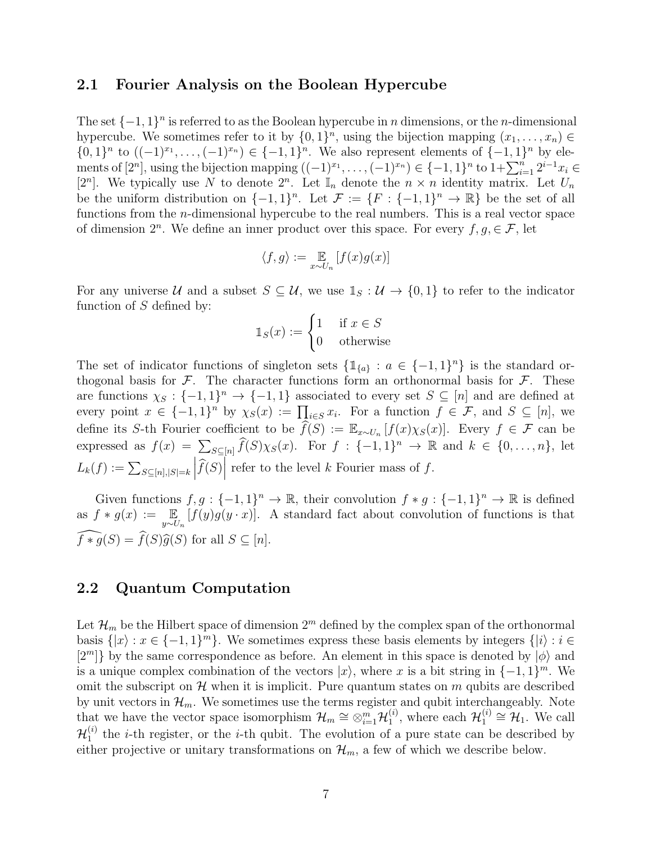#### 2.1 Fourier Analysis on the Boolean Hypercube

The set  $\{-1, 1\}$ <sup>n</sup> is referred to as the Boolean hypercube in *n* dimensions, or the *n*-dimensional hypercube. We sometimes refer to it by  $\{0, 1\}^n$ , using the bijection mapping  $(x_1, \ldots, x_n) \in$  $\{0,1\}^n$  to  $((-1)^{x_1},...,(-1)^{x_n}) \in \{-1,1\}^n$ . We also represent elements of  $\{-1,1\}^n$  by elements of  $[2^n]$ , using the bijection mapping  $((-1)^{x_1}, \ldots, (-1)^{x_n}) \in \{-1,1\}^n$  to  $1 + \sum_{i=1}^n 2^{i-1} x_i \in$ [2<sup>n</sup>]. We typically use N to denote  $2^n$ . Let  $\mathbb{I}_n$  denote the  $n \times n$  identity matrix. Let  $U_n$ be the uniform distribution on  $\{-1,1\}^n$ . Let  $\mathcal{F} := \{F : \{-1,1\}^n \to \mathbb{R}\}$  be the set of all functions from the *n*-dimensional hypercube to the real numbers. This is a real vector space of dimension  $2^n$ . We define an inner product over this space. For every  $f, g \in \mathcal{F}$ , let

$$
\langle f, g \rangle := \mathop{\mathbb{E}}_{x \sim U_n} \left[ f(x) g(x) \right]
$$

For any universe U and a subset  $S \subseteq U$ , we use  $\mathbb{1}_S : U \to \{0,1\}$  to refer to the indicator function of  $S$  defined by:

$$
\mathbb{1}_S(x) := \begin{cases} 1 & \text{if } x \in S \\ 0 & \text{otherwise} \end{cases}
$$

The set of indicator functions of singleton sets  $\{\mathbb{1}_{\{a\}} : a \in \{-1,1\}^n\}$  is the standard orthogonal basis for  $\mathcal{F}$ . The character functions form an orthonormal basis for  $\mathcal{F}$ . These are functions  $\chi_S : \{-1,1\}^n \to \{-1,1\}$  associated to every set  $S \subseteq [n]$  and are defined at every point  $x \in \{-1,1\}^n$  by  $\chi_S(x) := \prod_{i \in S} x_i$ . For a function  $f \in \mathcal{F}$ , and  $S \subseteq [n]$ , we define its S-th Fourier coefficient to be  $\widehat{f}(S) := \mathbb{E}_{x \sim U_n} [f(x) \chi_S(x)]$ . Every  $f \in \mathcal{F}$  can be expressed as  $f(x) = \sum_{S \subseteq [n]} \widehat{f}(S) \chi_S(x)$ . For  $f : \{-1,1\}^n \to \mathbb{R}$  and  $k \in \{0, \ldots, n\}$ , let  $L_k(f) := \sum_{S \subseteq [n], |S| = k}$  $\left|\widehat{f}(S)\right|$  refer to the level k Fourier mass of f.

Given functions  $f, g: \{-1, 1\}^n \to \mathbb{R}$ , their convolution  $f * g: \{-1, 1\}^n \to \mathbb{R}$  is defined as  $f * g(x) := \mathbb{E}_{y \sim U_n} [f(y)g(y \cdot x)].$  A standard fact about convolution of functions is that  $\widehat{f * g}(S) = \widehat{f}(S)\widehat{g}(S)$  for all  $S \subseteq [n]$ .

### 2.2 Quantum Computation

Let  $\mathcal{H}_m$  be the Hilbert space of dimension  $2^m$  defined by the complex span of the orthonormal basis  $\{|x\rangle : x \in \{-1,1\}^m\}$ . We sometimes express these basis elements by integers  $\{|i\rangle : i \in$  $[2^m]$  by the same correspondence as before. An element in this space is denoted by  $|\phi\rangle$  and is a unique complex combination of the vectors  $|x\rangle$ , where x is a bit string in  $\{-1, 1\}^m$ . We omit the subscript on  $\mathcal H$  when it is implicit. Pure quantum states on m qubits are described by unit vectors in  $\mathcal{H}_m$ . We sometimes use the terms register and qubit interchangeably. Note that we have the vector space isomorphism  $\mathcal{H}_m \cong \otimes_{i=1}^m \mathcal{H}_1^{(i)}$  $\mathcal{H}_1^{(i)}$ , where each  $\mathcal{H}_1^{(i)}$  $\mathcal{H}_1^{(i)} \cong \mathcal{H}_1$ . We call  $\mathcal{H}_1^{(i)}$  $t_1^{(i)}$  the *i*-th register, or the *i*-th qubit. The evolution of a pure state can be described by either projective or unitary transformations on  $\mathcal{H}_m$ , a few of which we describe below.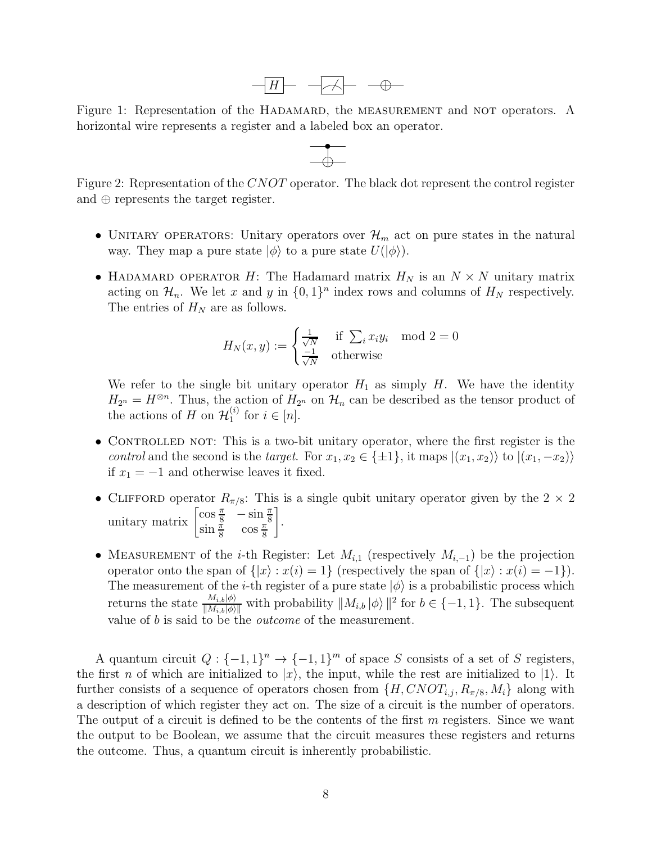

Figure 1: Representation of the HADAMARD, the MEASUREMENT and NOT operators. A horizontal wire represents a register and a labeled box an operator.



Figure 2: Representation of the CNOT operator. The black dot represent the control register and ⊕ represents the target register.

- UNITARY OPERATORS: Unitary operators over  $\mathcal{H}_m$  act on pure states in the natural way. They map a pure state  $|\phi\rangle$  to a pure state  $U(|\phi\rangle)$ .
- HADAMARD OPERATOR H: The Hadamard matrix  $H_N$  is an  $N \times N$  unitary matrix acting on  $\mathcal{H}_n$ . We let x and y in  $\{0, 1\}^n$  index rows and columns of  $H_N$  respectively. The entries of  $H_N$  are as follows.

$$
H_N(x, y) := \begin{cases} \frac{1}{\sqrt{N}} & \text{if } \sum_i x_i y_i \mod 2 = 0\\ \frac{-1}{\sqrt{N}} & \text{otherwise} \end{cases}
$$

We refer to the single bit unitary operator  $H_1$  as simply H. We have the identity  $H_{2^n} = H^{\otimes n}$ . Thus, the action of  $H_{2^n}$  on  $\mathcal{H}_n$  can be described as the tensor product of the actions of H on  $\mathcal{H}_1^{(i)}$  $i^{\prime\prime}$  for  $i \in [n]$ .

- CONTROLLED NOT: This is a two-bit unitary operator, where the first register is the control and the second is the target. For  $x_1, x_2 \in \{\pm 1\}$ , it maps  $|(x_1, x_2)\rangle$  to  $|(x_1, -x_2)\rangle$ if  $x_1 = −1$  and otherwise leaves it fixed.
- CLIFFORD operator  $R_{\pi/8}$ : This is a single qubit unitary operator given by the  $2 \times 2$ unitary matrix  $\begin{bmatrix} \cos\frac{\pi}{8} & -\sin\frac{\pi}{8} \\ \sin\frac{\pi}{8} & \cos\frac{\pi}{8} \end{bmatrix}$ 1 .
- MEASUREMENT of the *i*-th Register: Let  $M_{i,1}$  (respectively  $M_{i,-1}$ ) be the projection operator onto the span of  $\{|x\rangle : x(i) = 1\}$  (respectively the span of  $\{|x\rangle : x(i) = -1\}$ ). The measurement of the *i*-th register of a pure state  $|\phi\rangle$  is a probabilistic process which returns the state  $\frac{M_{i,b}|\phi\rangle}{\|M_{i,b}|\phi\rangle\|}$  with probability  $\|M_{i,b}\ket{\phi}\|^2$  for  $b \in \{-1,1\}$ . The subsequent value of b is said to be the outcome of the measurement.

A quantum circuit  $Q: \{-1,1\}^n \to \{-1,1\}^m$  of space S consists of a set of S registers, the first n of which are initialized to  $|x\rangle$ , the input, while the rest are initialized to  $|1\rangle$ . It further consists of a sequence of operators chosen from  $\{H, CNOT_{i,j}, R_{\pi/8}, M_i\}$  along with a description of which register they act on. The size of a circuit is the number of operators. The output of a circuit is defined to be the contents of the first  $m$  registers. Since we want the output to be Boolean, we assume that the circuit measures these registers and returns the outcome. Thus, a quantum circuit is inherently probabilistic.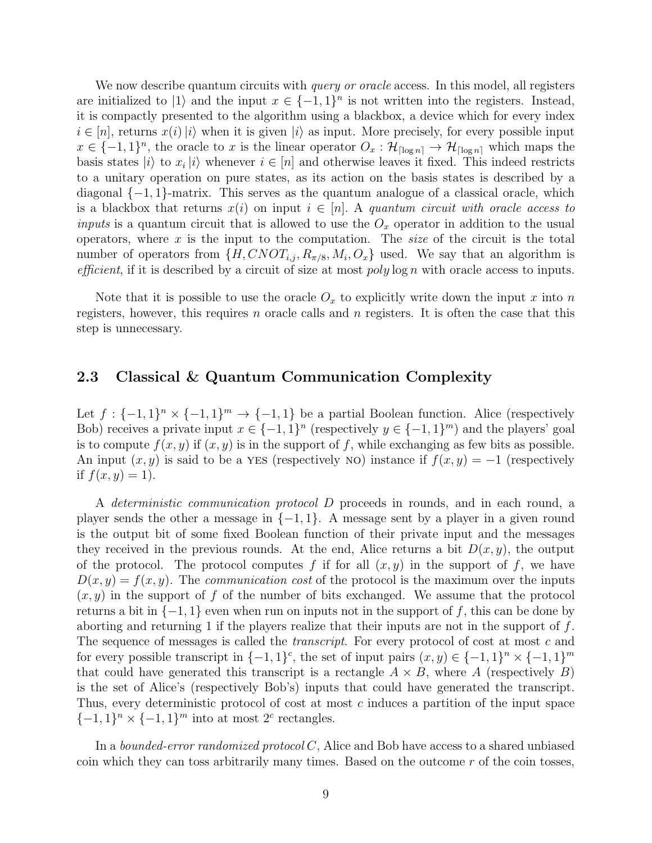We now describe quantum circuits with *query or oracle* access. In this model, all registers are initialized to  $|1\rangle$  and the input  $x \in \{-1, 1\}^n$  is not written into the registers. Instead, it is compactly presented to the algorithm using a blackbox, a device which for every index  $i \in [n]$ , returns  $x(i)$  iii when it is given  $|i\rangle$  as input. More precisely, for every possible input  $x \in \{-1,1\}^n$ , the oracle to x is the linear operator  $O_x : \mathcal{H}_{\lceil \log n \rceil} \to \mathcal{H}_{\lceil \log n \rceil}$  which maps the basis states  $|i\rangle$  to  $x_i|i\rangle$  whenever  $i \in [n]$  and otherwise leaves it fixed. This indeed restricts to a unitary operation on pure states, as its action on the basis states is described by a diagonal  $\{-1, 1\}$ -matrix. This serves as the quantum analogue of a classical oracle, which is a blackbox that returns  $x(i)$  on input  $i \in [n]$ . A quantum circuit with oracle access to *inputs* is a quantum circuit that is allowed to use the  $O_x$  operator in addition to the usual operators, where  $x$  is the input to the computation. The *size* of the circuit is the total number of operators from  $\{H, CNOT_{i,j}, R_{\pi/8}, M_i, O_x\}$  used. We say that an algorithm is *efficient*, if it is described by a circuit of size at most  $poly \log n$  with oracle access to inputs.

Note that it is possible to use the oracle  $O_x$  to explicitly write down the input x into n registers, however, this requires n oracle calls and  $n$  registers. It is often the case that this step is unnecessary.

#### 2.3 Classical & Quantum Communication Complexity

Let  $f: \{-1,1\}^n \times \{-1,1\}^m \to \{-1,1\}$  be a partial Boolean function. Alice (respectively Bob) receives a private input  $x \in \{-1,1\}^n$  (respectively  $y \in \{-1,1\}^m$ ) and the players' goal is to compute  $f(x, y)$  if  $(x, y)$  is in the support of f, while exchanging as few bits as possible. An input  $(x, y)$  is said to be a YES (respectively NO) instance if  $f(x, y) = -1$  (respectively if  $f(x, y) = 1$ .

A deterministic communication protocol D proceeds in rounds, and in each round, a player sends the other a message in  $\{-1, 1\}$ . A message sent by a player in a given round is the output bit of some fixed Boolean function of their private input and the messages they received in the previous rounds. At the end, Alice returns a bit  $D(x, y)$ , the output of the protocol. The protocol computes f if for all  $(x, y)$  in the support of f, we have  $D(x, y) = f(x, y)$ . The communication cost of the protocol is the maximum over the inputs  $(x, y)$  in the support of f of the number of bits exchanged. We assume that the protocol returns a bit in  $\{-1, 1\}$  even when run on inputs not in the support of f, this can be done by aborting and returning 1 if the players realize that their inputs are not in the support of f. The sequence of messages is called the *transcript*. For every protocol of cost at most c and for every possible transcript in  $\{-1, 1\}^c$ , the set of input pairs  $(x, y) \in \{-1, 1\}^n \times \{-1, 1\}^m$ that could have generated this transcript is a rectangle  $A \times B$ , where A (respectively B) is the set of Alice's (respectively Bob's) inputs that could have generated the transcript. Thus, every deterministic protocol of cost at most c induces a partition of the input space  $\{-1, 1\}^n \times \{-1, 1\}^m$  into at most  $2^c$  rectangles.

In a *bounded-error randomized protocol*  $C$ , Alice and Bob have access to a shared unbiased coin which they can toss arbitrarily many times. Based on the outcome  $r$  of the coin tosses,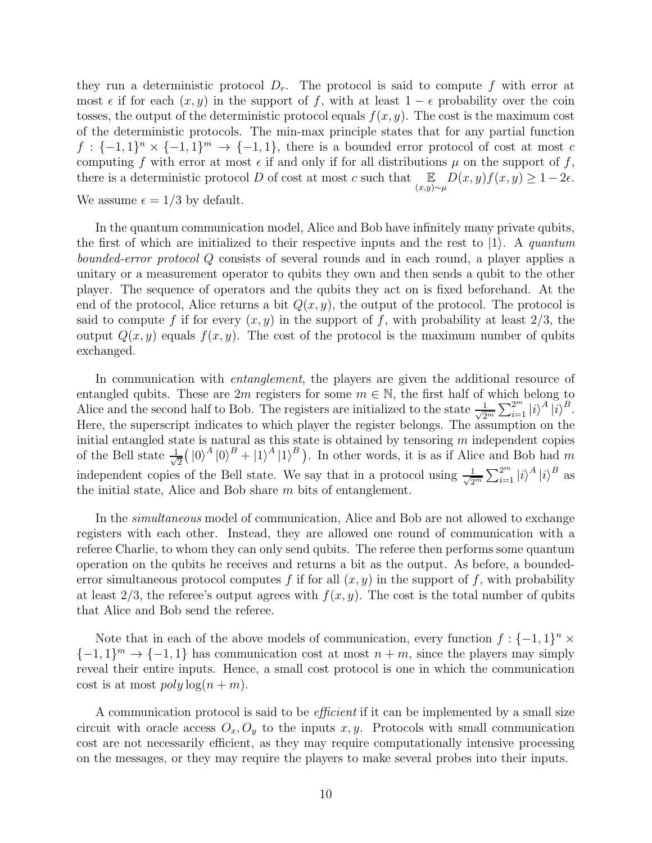they run a deterministic protocol  $D_r$ . The protocol is said to compute f with error at most  $\epsilon$  if for each  $(x, y)$  in the support of f, with at least  $1 - \epsilon$  probability over the coin tosses, the output of the deterministic protocol equals  $f(x, y)$ . The cost is the maximum cost of the deterministic protocols. The min-max principle states that for any partial function  $f: \{-1,1\}^n \times \{-1,1\}^m \to \{-1,1\}$ , there is a bounded error protocol of cost at most c computing f with error at most  $\epsilon$  if and only if for all distributions  $\mu$  on the support of f, there is a deterministic protocol  $D$  of cost at most c such that  $\mathbb{E}$  $\mathbb{E}_{(x,y)\sim\mu}D(x,y)f(x,y)\geq 1-2\epsilon.$ We assume  $\epsilon = 1/3$  by default.

In the quantum communication model, Alice and Bob have infinitely many private qubits, the first of which are initialized to their respective inputs and the rest to  $|1\rangle$ . A quantum bounded-error protocol Q consists of several rounds and in each round, a player applies a unitary or a measurement operator to qubits they own and then sends a qubit to the other player. The sequence of operators and the qubits they act on is fixed beforehand. At the end of the protocol, Alice returns a bit  $Q(x, y)$ , the output of the protocol. The protocol is said to compute f if for every  $(x, y)$  in the support of f, with probability at least  $2/3$ , the output  $Q(x, y)$  equals  $f(x, y)$ . The cost of the protocol is the maximum number of qubits exchanged.

In communication with *entanglement*, the players are given the additional resource of entangled qubits. These are  $2m$  registers for some  $m \in \mathbb{N}$ , the first half of which belong to Alice and the second half to Bob. The registers are initialized to the state  $\frac{1}{\sqrt{2}}$  $\frac{1}{2^m}\sum_{i=1}^{2^m} |i\rangle^A |i\rangle^B.$ Here, the superscript indicates to which player the register belongs. The assumption on the initial entangled state is natural as this state is obtained by tensoring  $m$  independent copies of the Bell state  $\frac{1}{\sqrt{2}}$  $\frac{1}{2}(|0\rangle^{A}|0\rangle^{B} + |1\rangle^{A}|1\rangle^{B})$ . In other words, it is as if Alice and Bob had m independent copies of the Bell state. We say that in a protocol using  $\frac{1}{\sqrt{2}}$  $\frac{1}{2^m}\sum_{i=1}^{2^m} |i\rangle^A |i\rangle^B$  as the initial state, Alice and Bob share m bits of entanglement.

In the simultaneous model of communication, Alice and Bob are not allowed to exchange registers with each other. Instead, they are allowed one round of communication with a referee Charlie, to whom they can only send qubits. The referee then performs some quantum operation on the qubits he receives and returns a bit as the output. As before, a boundederror simultaneous protocol computes f if for all  $(x, y)$  in the support of f, with probability at least  $2/3$ , the referee's output agrees with  $f(x, y)$ . The cost is the total number of qubits that Alice and Bob send the referee.

Note that in each of the above models of communication, every function  $f: \{-1,1\}^n \times$  $\{-1,1\}$ <sup>m</sup>  $\rightarrow$   $\{-1,1\}$  has communication cost at most  $n + m$ , since the players may simply reveal their entire inputs. Hence, a small cost protocol is one in which the communication cost is at most  $poly \log(n + m)$ .

A communication protocol is said to be *efficient* if it can be implemented by a small size circuit with oracle access  $O_x, O_y$  to the inputs x, y. Protocols with small communication cost are not necessarily efficient, as they may require computationally intensive processing on the messages, or they may require the players to make several probes into their inputs.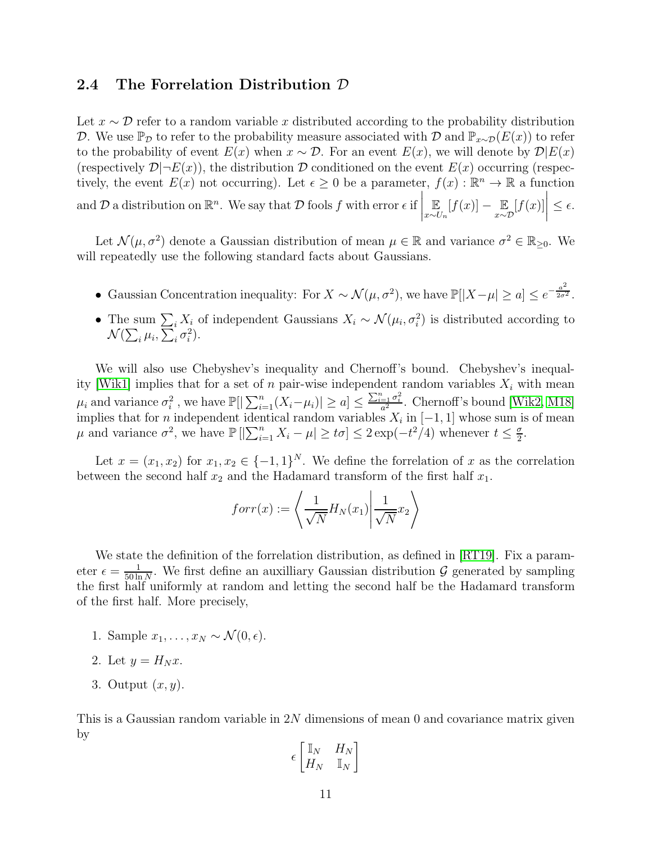#### 2.4 The Forrelation Distribution D

Let  $x \sim \mathcal{D}$  refer to a random variable x distributed according to the probability distribution D. We use  $\mathbb{P}_{\mathcal{D}}$  to refer to the probability measure associated with D and  $\mathbb{P}_{x\sim\mathcal{D}}(E(x))$  to refer to the probability of event  $E(x)$  when  $x \sim \mathcal{D}$ . For an event  $E(x)$ , we will denote by  $\mathcal{D}|E(x)$ (respectively  $\mathcal{D}|\neg E(x)$ ), the distribution D conditioned on the event  $E(x)$  occurring (respectively, the event  $E(x)$  not occurring). Let  $\epsilon \geq 0$  be a parameter,  $f(x) : \mathbb{R}^n \to \mathbb{R}$  a function and  $D$  a distribution on  $\mathbb{R}^n$ . We say that  $D$  fools  $f$  with error  $\epsilon$  if E  $\mathbb{E}_{x \sim U_n}[f(x)] - \mathbb{E}_{x \sim \mathcal{D}}$  $[f(x)]$  $\Big\vert \leq \epsilon.$ 

Let  $\mathcal{N}(\mu, \sigma^2)$  denote a Gaussian distribution of mean  $\mu \in \mathbb{R}$  and variance  $\sigma^2 \in \mathbb{R}_{\geq 0}$ . We will repeatedly use the following standard facts about Gaussians.

- Gaussian Concentration inequality: For  $X \sim \mathcal{N}(\mu, \sigma^2)$ , we have  $\mathbb{P}[|X \mu| \ge a] \le e^{-\frac{a^2}{2\sigma^2}}$  $\frac{a}{2\sigma^2}$ .
- The sum  $\sum_i X_i$  of independent Gaussians  $X_i \sim \mathcal{N}(\mu_i, \sigma_i^2)$  is distributed according to  $\mathcal{N}(\sum_i \mu_i, \sum_i \sigma_i^2).$

We will also use Chebyshev's inequality and Chernoff's bound. Chebyshev's inequal-ity [\[Wik1\]](#page-30-8) implies that for a set of n pair-wise independent random variables  $X_i$  with mean  $\mu_i$  and variance  $\sigma_i^2$ , we have  $\mathbb{P}[|\sum_{i=1}^n (X_i - \mu_i)| \geq a] \leq \frac{\sum_{i=1}^n \sigma_i^2}{a^2}$ . Chernoff's bound [\[Wik2,](#page-30-9) [M18\]](#page-30-10) implies that for *n* independent identical random variables  $X_i$  in  $[-1, 1]$  whose sum is of mean  $\mu$  and variance  $\sigma^2$ , we have  $\mathbb{P}\left[\left|\sum_{i=1}^n X_i - \mu\right| \geq t\sigma\right] \leq 2\exp(-t^2/4)$  whenever  $t \leq \frac{\sigma}{2}$  $\frac{\sigma}{2}$ .

Let  $x = (x_1, x_2)$  for  $x_1, x_2 \in \{-1, 1\}^N$ . We define the forrelation of x as the correlation between the second half  $x_2$  and the Hadamard transform of the first half  $x_1$ .

$$
for r(x) := \left\langle \frac{1}{\sqrt{N}} H_N(x_1) \middle| \frac{1}{\sqrt{N}} x_2 \right\rangle
$$

We state the definition of the forrelation distribution, as defined in [\[RT19\]](#page-30-2). Fix a parameter  $\epsilon = \frac{1}{50 \text{ ly}}$  $\frac{1}{50 \ln N}$ . We first define an auxilliary Gaussian distribution G generated by sampling the first half uniformly at random and letting the second half be the Hadamard transform of the first half. More precisely,

- 1. Sample  $x_1, \ldots, x_N \sim \mathcal{N}(0, \epsilon)$ .
- 2. Let  $y = H_N x$ .
- 3. Output  $(x, y)$ .

This is a Gaussian random variable in 2N dimensions of mean 0 and covariance matrix given by

$$
\epsilon \begin{bmatrix} \mathbb{I}_N & H_N \\ H_N & \mathbb{I}_N \end{bmatrix}
$$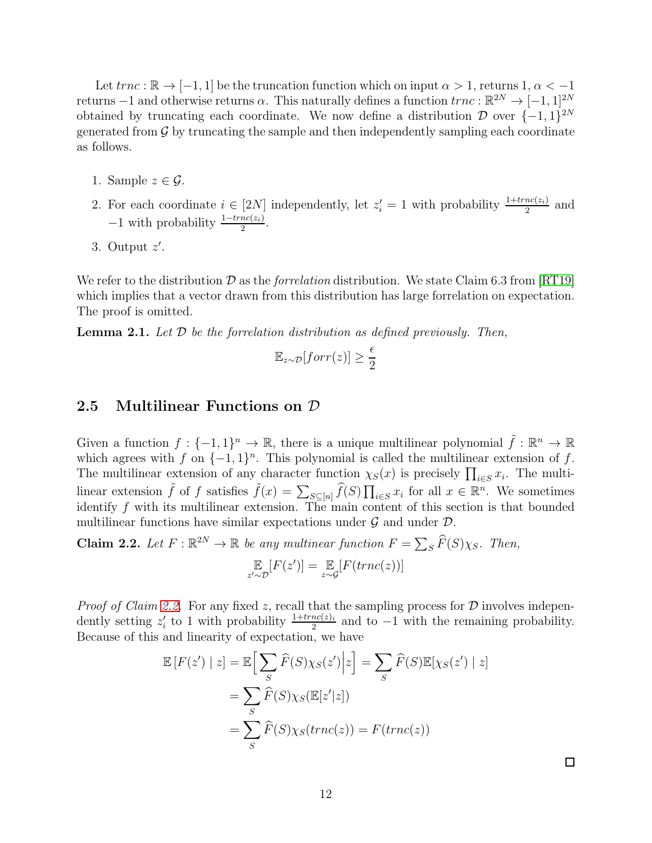Let  $trnc : \mathbb{R} \to [-1, 1]$  be the truncation function which on input  $\alpha > 1$ , returns 1,  $\alpha < -1$ returns –1 and otherwise returns  $\alpha$ . This naturally defines a function  $trnc : \mathbb{R}^{2N} \to [-1, 1]^{2N}$ obtained by truncating each coordinate. We now define a distribution  $\mathcal{D}$  over  $\{-1, 1\}^{2N}$ generated from  $\mathcal G$  by truncating the sample and then independently sampling each coordinate as follows.

- 1. Sample  $z \in \mathcal{G}$ .
- 2. For each coordinate  $i \in [2N]$  independently, let  $z_i' = 1$  with probability  $\frac{1+trnc(z_i)}{2}$  and  $-1$  with probability  $\frac{1-trnc(z_i)}{2}$ .
- 3. Output z ′ .

We refer to the distribution  $\mathcal D$  as the *forrelation* distribution. We state Claim 6.3 from [\[RT19\]](#page-30-2) which implies that a vector drawn from this distribution has large forrelation on expectation. The proof is omitted.

<span id="page-11-1"></span>**Lemma 2.1.** Let  $D$  be the forrelation distribution as defined previously. Then,

$$
\mathbb{E}_{z \sim \mathcal{D}}[forr(z)] \ge \frac{\epsilon}{2}
$$

#### 2.5 Multilinear Functions on D

Given a function  $f: \{-1,1\}^n \to \mathbb{R}$ , there is a unique multilinear polynomial  $\tilde{f}: \mathbb{R}^n \to \mathbb{R}$ which agrees with f on  $\{-1,1\}^n$ . This polynomial is called the multilinear extension of f. The multilinear extension of any character function  $\chi_S(x)$  is precisely  $\prod_{i\in S} x_i$ . The multilinear extension  $\tilde{f}$  of f satisfies  $\tilde{f}(x) = \sum_{S \subseteq [n]} \widehat{f}(S) \prod_{i \in S} x_i$  for all  $x \in \mathbb{R}^n$ . We sometimes identify  $f$  with its multilinear extension. The main content of this section is that bounded multilinear functions have similar expectations under  $\mathcal G$  and under  $\mathcal D$ .

<span id="page-11-0"></span>**Claim 2.2.** Let  $F : \mathbb{R}^{2N} \to \mathbb{R}$  be any multinear function  $F = \sum_{S} \widehat{F}(S) \chi_{S}$ . Then,

$$
\mathop{\mathbb{E}}_{z' \sim \mathcal{D}}[F(z')] = \mathop{\mathbb{E}}_{z \sim \mathcal{G}}[F(trnc(z))]
$$

*Proof of Claim [2.2.](#page-11-0)* For any fixed z, recall that the sampling process for  $D$  involves independently setting  $z_i'$  to 1 with probability  $\frac{1+trnc(z)_i}{2}$  and to -1 with the remaining probability. Because of this and linearity of expectation, we have

$$
\mathbb{E}\left[F(z') \mid z\right] = \mathbb{E}\Big[\sum_{S} \widehat{F}(S)\chi_{S}(z') \big| z\Big] = \sum_{S} \widehat{F}(S)\mathbb{E}[\chi_{S}(z') \mid z]
$$

$$
= \sum_{S} \widehat{F}(S)\chi_{S}(\mathbb{E}[z'|z])
$$

$$
= \sum_{S} \widehat{F}(S)\chi_{S}(trnc(z)) = F(trnc(z))
$$

 $\Box$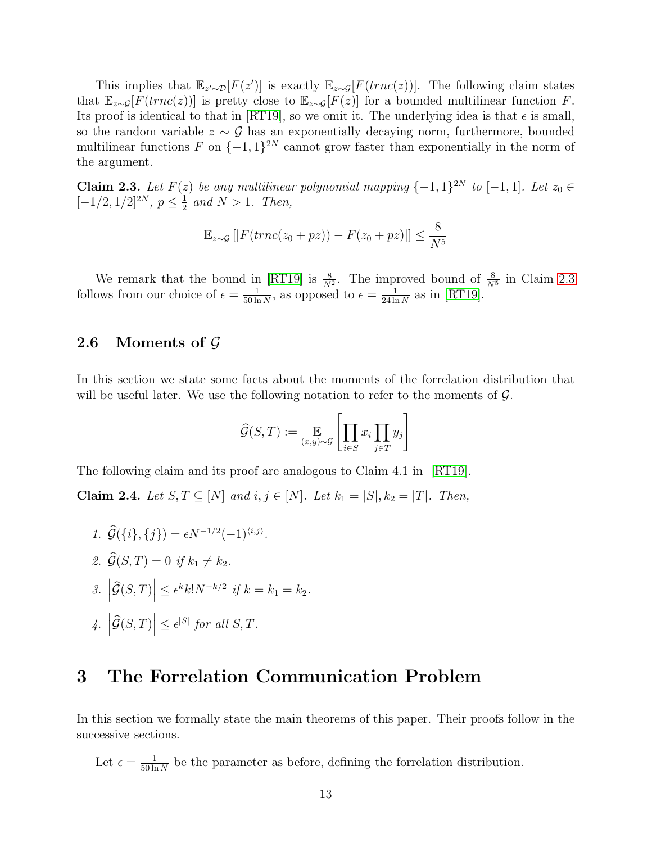This implies that  $\mathbb{E}_{z'\sim\mathcal{D}}[F(z')]$  is exactly  $\mathbb{E}_{z\sim\mathcal{G}}[F(trnc(z))]$ . The following claim states that  $\mathbb{E}_{z\sim\mathcal{G}}[F(trnc(z))]$  is pretty close to  $\mathbb{E}_{z\sim\mathcal{G}}[F(z)]$  for a bounded multilinear function F. Its proof is identical to that in [\[RT19\]](#page-30-2), so we omit it. The underlying idea is that  $\epsilon$  is small, so the random variable  $z \sim \mathcal{G}$  has an exponentially decaying norm, furthermore, bounded multilinear functions  $F$  on  $\{-1,1\}^{2N}$  cannot grow faster than exponentially in the norm of the argument.

<span id="page-12-0"></span>Claim 2.3. Let  $F(z)$  be any multilinear polynomial mapping  $\{-1,1\}^{2N}$  to  $[-1,1]$ . Let  $z_0 \in$  $[-1/2, 1/2]^{2N}, p \leq \frac{1}{2}$  $\frac{1}{2}$  and  $N > 1$ . Then,

$$
\mathbb{E}_{z \sim \mathcal{G}}\left[|F(trnc(z_0 + pz)) - F(z_0 + pz)|\right] \le \frac{8}{N^5}
$$

We remark that the bound in [\[RT19\]](#page-30-2) is  $\frac{8}{N^2}$ . The improved bound of  $\frac{8}{N^5}$  in Claim [2.3](#page-12-0) follows from our choice of  $\epsilon = \frac{1}{50 \text{ kg}}$  $\frac{1}{50 \ln N}$ , as opposed to  $\epsilon = \frac{1}{24 \ln N}$  $\frac{1}{24 \ln N}$  as in [\[RT19\]](#page-30-2).

#### 2.6 Moments of  $\mathcal G$

In this section we state some facts about the moments of the forrelation distribution that will be useful later. We use the following notation to refer to the moments of  $\mathcal{G}$ .

$$
\widehat{\mathcal{G}}(S,T) := \mathop{\mathbb{E}}_{(x,y)\sim\mathcal{G}} \left[ \prod_{i \in S} x_i \prod_{j \in T} y_j \right]
$$

<span id="page-12-2"></span>The following claim and its proof are analogous to Claim 4.1 in [\[RT19\]](#page-30-2).

Claim 2.4. Let S, T ⊆ [N] and  $i, j \in [N]$ . Let  $k_1 = |S|, k_2 = |T|$ . Then,

- 1.  $\hat{\mathcal{G}}(\{i\},\{j\}) = \epsilon N^{-1/2}(-1)^{\langle i,j\rangle}.$
- 2.  $\widehat{\mathcal{G}}(S,T) = 0$  if  $k_1 \neq k_2$ .
- 3.  $\left| \widehat{\mathcal{G}}(S,T) \right| \leq \epsilon^k k! N^{-k/2}$  if  $k = k_1 = k_2$ .
- $4. \left| \widehat{\mathcal{G}}(S,T) \right| \leq \epsilon^{|S|}$  for all  $S,T$ .

### 3 The Forrelation Communication Problem

In this section we formally state the main theorems of this paper. Their proofs follow in the successive sections.

<span id="page-12-1"></span>Let  $\epsilon = \frac{1}{50 \text{ hr}}$  $\frac{1}{50 \ln N}$  be the parameter as before, defining the forrelation distribution.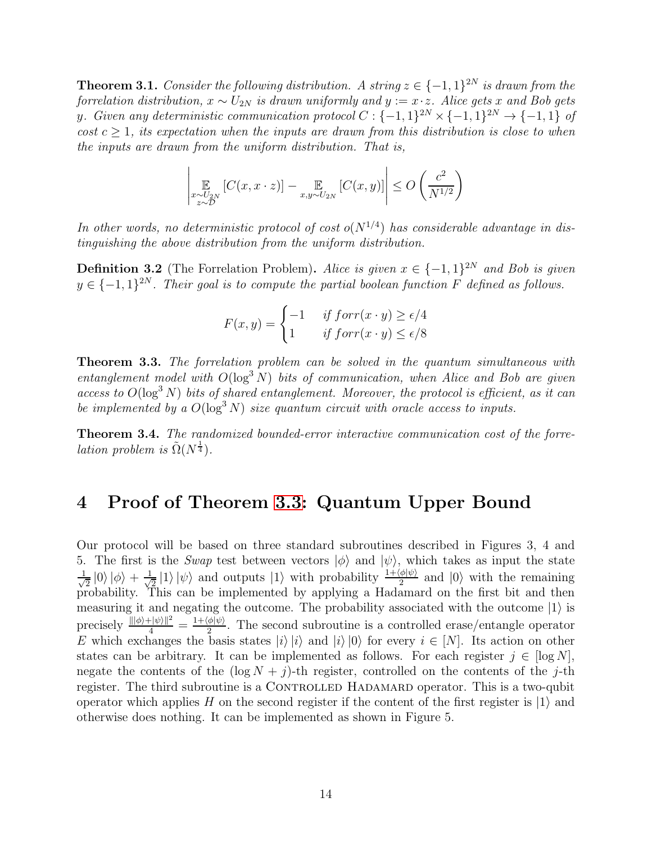**Theorem 3.1.** Consider the following distribution. A string  $z \in \{-1,1\}^{2N}$  is drawn from the forrelation distribution,  $x \sim U_{2N}$  is drawn uniformly and  $y := x \cdot z$ . Alice gets x and Bob gets y. Given any deterministic communication protocol  $C: \{-1,1\}^{2N} \times \{-1,1\}^{2N} \to \{-1,1\}$  of cost  $c \geq 1$ , its expectation when the inputs are drawn from this distribution is close to when the inputs are drawn from the uniform distribution. That is,

$$
\left|\mathop{\mathbb{E}}_{\substack{x \sim U_{2N} \\ z \sim \mathcal{D}}} \left[C(x,x \cdot z)\right] - \mathop{\mathbb{E}}_{x,y \sim U_{2N}} \left[C(x,y)\right]\right| \leq O\left(\frac{c^2}{N^{1/2}}\right)
$$

In other words, no deterministic protocol of cost  $o(N^{1/4})$  has considerable advantage in distinguishing the above distribution from the uniform distribution.

**Definition 3.2** (The Forrelation Problem). Alice is given  $x \in \{-1, 1\}^{2N}$  and Bob is given  $y \in \{-1,1\}^{2N}$ . Their goal is to compute the partial boolean function F defined as follows.

$$
F(x,y) = \begin{cases} -1 & \text{if } \text{forr}(x \cdot y) \ge \epsilon/4 \\ 1 & \text{if } \text{forr}(x \cdot y) \le \epsilon/8 \end{cases}
$$

<span id="page-13-0"></span>Theorem 3.3. The forrelation problem can be solved in the quantum simultaneous with entanglement model with  $O(\log^3 N)$  bits of communication, when Alice and Bob are given access to  $O(\log^3 N)$  bits of shared entanglement. Moreover, the protocol is efficient, as it can be implemented by a  $O(\log^3 N)$  size quantum circuit with oracle access to inputs.

<span id="page-13-1"></span>Theorem 3.4. The randomized bounded-error interactive communication cost of the forre*lation problem is*  $\tilde{\Omega}(N^{\frac{1}{4}})$ .

## 4 Proof of Theorem [3.3:](#page-13-0) Quantum Upper Bound

Our protocol will be based on three standard subroutines described in Figures 3, 4 and 5. The first is the Swap test between vectors  $|\phi\rangle$  and  $|\psi\rangle$ , which takes as input the state √ 1  $\frac{1}{2}$  |0\| $\phi$ \| +  $\frac{1}{\sqrt{2}}$  $\frac{1}{2}$ (1)  $|\psi\rangle$  and outputs  $|1\rangle$  with probability  $\frac{1+\langle\phi|\psi\rangle}{2}$  and  $|0\rangle$  with the remaining probability. This can be implemented by applying a Hadamard on the first bit and then measuring it and negating the outcome. The probability associated with the outcome  $|1\rangle$  is precisely  $\frac{\|\phi\rangle + \psi\rangle\|^2}{4} = \frac{1+\langle\phi|\psi\rangle}{2}$ . The second subroutine is a controlled erase/entangle operator E which exchanges the basis states  $|i\rangle |i\rangle$  and  $|i\rangle |0\rangle$  for every  $i \in [N]$ . Its action on other states can be arbitrary. It can be implemented as follows. For each register  $j \in [\log N]$ , negate the contents of the  $(\log N + j)$ -th register, controlled on the contents of the j-th register. The third subroutine is a CONTROLLED HADAMARD operator. This is a two-qubit operator which applies H on the second register if the content of the first register is  $|1\rangle$  and otherwise does nothing. It can be implemented as shown in Figure 5.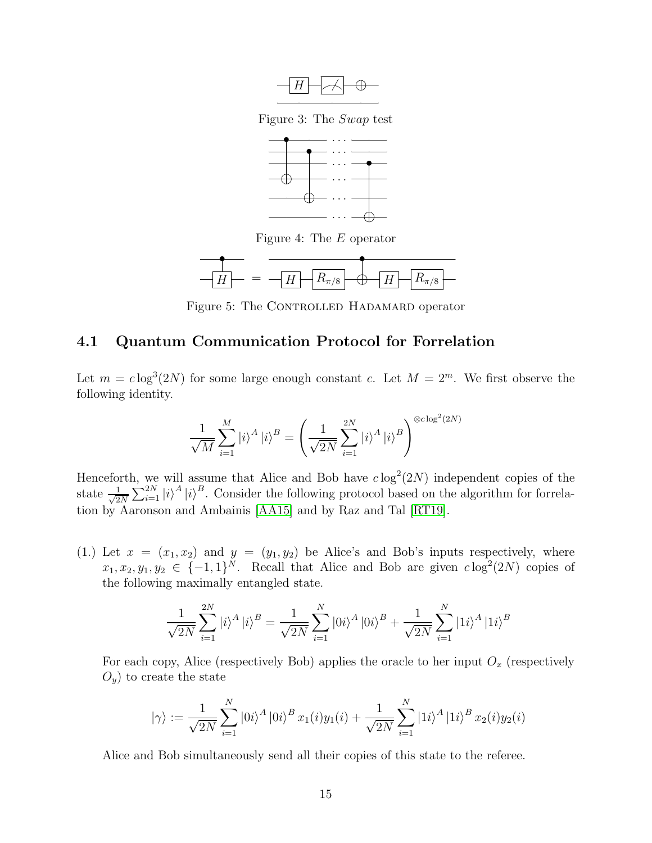

Figure 3: The Swap test



Figure 4: The E operator



Figure 5: The CONTROLLED HADAMARD operator

#### 4.1 Quantum Communication Protocol for Forrelation

Let  $m = c \log^3(2N)$  for some large enough constant c. Let  $M = 2^m$ . We first observe the following identity.

$$
\frac{1}{\sqrt{M}}\sum_{i=1}^{M}|i\rangle^{A}|i\rangle^{B} = \left(\frac{1}{\sqrt{2N}}\sum_{i=1}^{2N}|i\rangle^{A}|i\rangle^{B}\right)^{\otimes c\log^{2}(2N)}
$$

Henceforth, we will assume that Alice and Bob have  $c \log^2(2N)$  independent copies of the state  $\frac{1}{\sqrt{2}}$  $\frac{1}{2N}\sum_{i=1}^{2N} |i\rangle^A |i\rangle^B$ . Consider the following protocol based on the algorithm for forrelation by Aaronson and Ambainis [\[AA15\]](#page-29-4) and by Raz and Tal [\[RT19\]](#page-30-2).

(1.) Let  $x = (x_1, x_2)$  and  $y = (y_1, y_2)$  be Alice's and Bob's inputs respectively, where  $x_1, x_2, y_1, y_2 \in \{-1, 1\}^N$ . Recall that Alice and Bob are given  $c \log^2(2N)$  copies of the following maximally entangled state.

$$
\frac{1}{\sqrt{2N}}\sum_{i=1}^{2N} |i\rangle^A |i\rangle^B = \frac{1}{\sqrt{2N}}\sum_{i=1}^{N} |0i\rangle^A |0i\rangle^B + \frac{1}{\sqrt{2N}}\sum_{i=1}^{N} |1i\rangle^A |1i\rangle^B
$$

For each copy, Alice (respectively Bob) applies the oracle to her input  $O_x$  (respectively  $O_y$ ) to create the state

$$
|\gamma\rangle := \frac{1}{\sqrt{2N}} \sum_{i=1}^{N} |0i\rangle^{A} |0i\rangle^{B} x_{1}(i) y_{1}(i) + \frac{1}{\sqrt{2N}} \sum_{i=1}^{N} |1i\rangle^{A} |1i\rangle^{B} x_{2}(i) y_{2}(i)
$$

Alice and Bob simultaneously send all their copies of this state to the referee.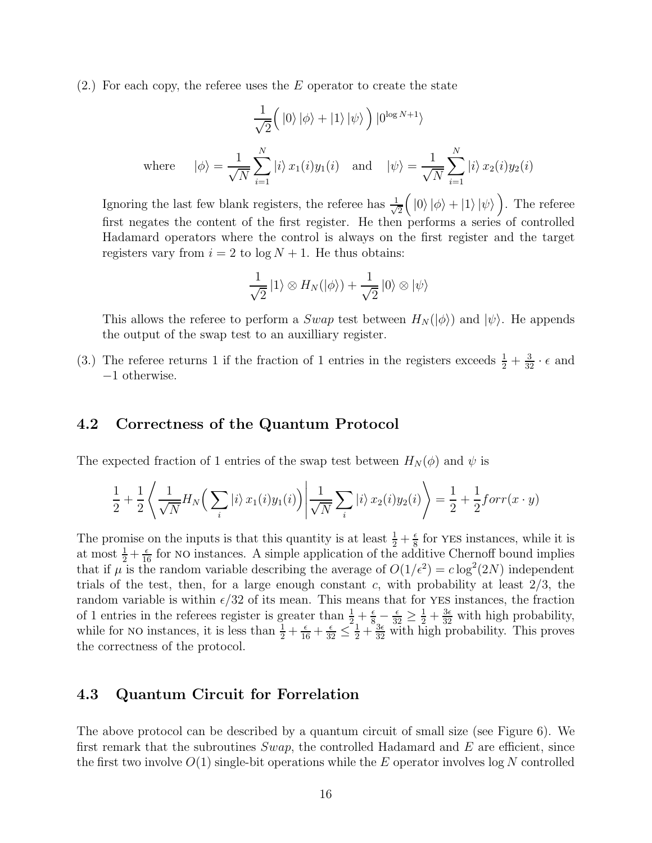$(2.)$  For each copy, the referee uses the E operator to create the state

$$
\frac{1}{\sqrt{2}}\left(|0\rangle|\phi\rangle+|1\rangle|\psi\rangle\right)|0^{\log N+1}\rangle
$$
\nwhere  $|\phi\rangle = \frac{1}{\sqrt{N}}\sum_{i=1}^{N}|i\rangle x_1(i)y_1(i)$  and  $|\psi\rangle = \frac{1}{\sqrt{N}}\sum_{i=1}^{N}|i\rangle x_2(i)y_2(i)$ 

Ignoring the last few blank registers, the referee has  $\frac{1}{\sqrt{2}}$ 2  $\left( \begin{array}{c|c} |0\rangle & |\phi\rangle + |1\rangle & |\psi\rangle \end{array} \right)$ . The referee first negates the content of the first register. He then performs a series of controlled Hadamard operators where the control is always on the first register and the target registers vary from  $i = 2$  to  $\log N + 1$ . He thus obtains:

$$
\frac{1}{\sqrt{2}}|1\rangle \otimes H_N(|\phi\rangle) + \frac{1}{\sqrt{2}}|0\rangle \otimes |\psi\rangle
$$

This allows the referee to perform a Swap test between  $H_N(\ket{\phi})$  and  $\ket{\psi}$ . He appends the output of the swap test to an auxilliary register.

(3.) The referee returns 1 if the fraction of 1 entries in the registers exceeds  $\frac{1}{2} + \frac{3}{32} \cdot \epsilon$  and −1 otherwise.

#### 4.2 Correctness of the Quantum Protocol

The expected fraction of 1 entries of the swap test between  $H_N(\phi)$  and  $\psi$  is

$$
\frac{1}{2} + \frac{1}{2} \left\langle \frac{1}{\sqrt{N}} H_N\Big(\sum_i |i\rangle x_1(i)y_1(i)\Big) \middle| \frac{1}{\sqrt{N}} \sum_i |i\rangle x_2(i)y_2(i)\right\rangle = \frac{1}{2} + \frac{1}{2} \text{for } r(x \cdot y)
$$

The promise on the inputs is that this quantity is at least  $\frac{1}{2} + \frac{\epsilon}{8}$  $\frac{\epsilon}{8}$  for YES instances, while it is at most  $\frac{1}{2} + \frac{\epsilon}{16}$  for NO instances. A simple application of the additive Chernoff bound implies that if  $\mu$  is the random variable describing the average of  $O(1/\epsilon^2) = c \log^2(2N)$  independent trials of the test, then, for a large enough constant c, with probability at least  $2/3$ , the random variable is within  $\epsilon/32$  of its mean. This means that for YES instances, the fraction of 1 entries in the referees register is greater than  $\frac{1}{2} + \frac{\epsilon}{8} - \frac{\epsilon}{32} \ge \frac{1}{2} + \frac{3\epsilon}{32}$  with high probability, while for NO instances, it is less than  $\frac{1}{2} + \frac{\epsilon}{16} + \frac{\epsilon}{32} \leq \frac{1}{2} + \frac{3\epsilon}{32}$  with high probability. This proves the correctness of the protocol.

### 4.3 Quantum Circuit for Forrelation

The above protocol can be described by a quantum circuit of small size (see Figure 6). We first remark that the subroutines  $Swap$ , the controlled Hadamard and E are efficient, since the first two involve  $O(1)$  single-bit operations while the E operator involves log N controlled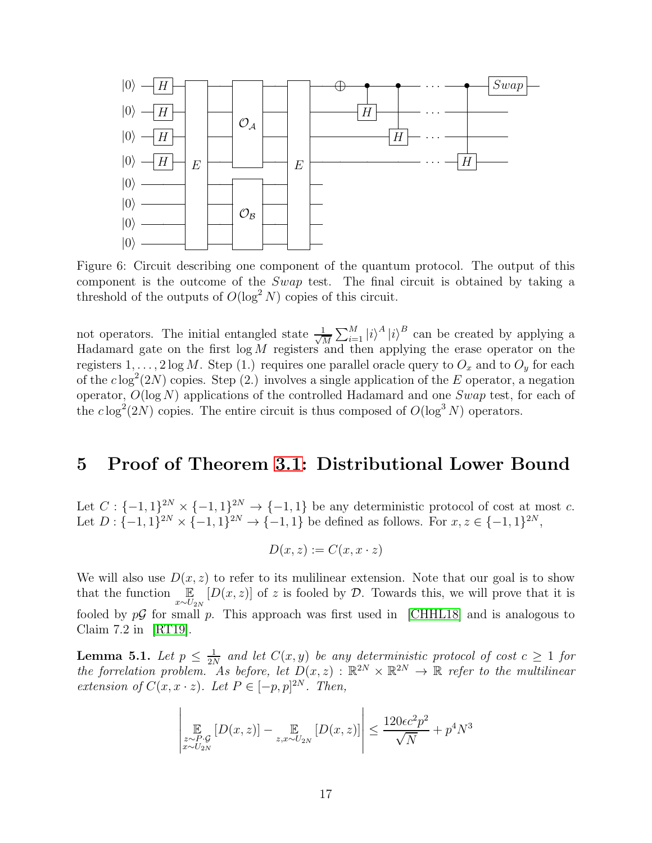

Figure 6: Circuit describing one component of the quantum protocol. The output of this component is the outcome of the Swap test. The final circuit is obtained by taking a threshold of the outputs of  $O(\log^2 N)$  copies of this circuit.

not operators. The initial entangled state  $\frac{1}{\sqrt{2}}$  $\frac{1}{M}\sum_{i=1}^{M}|i\rangle^{A}|i\rangle^{B}$  can be created by applying a Hadamard gate on the first  $log M$  registers and then applying the erase operator on the registers  $1, \ldots, 2 \log M$ . Step (1.) requires one parallel oracle query to  $O_x$  and to  $O_y$  for each of the  $c \log^2(2N)$  copies. Step (2.) involves a single application of the E operator, a negation operator,  $O(\log N)$  applications of the controlled Hadamard and one Swap test, for each of the  $c \log^2(2N)$  copies. The entire circuit is thus composed of  $O(\log^3 N)$  operators.

### 5 Proof of Theorem [3.1:](#page-12-1) Distributional Lower Bound

Let  $C: \{-1,1\}^{2N} \times \{-1,1\}^{2N} \to \{-1,1\}$  be any deterministic protocol of cost at most c. Let  $D: \{-1, 1\}^{2N} \times \{-1, 1\}^{2N} \to \{-1, 1\}$  be defined as follows. For  $x, z \in \{-1, 1\}^{2N}$ ,

$$
D(x, z) := C(x, x \cdot z)
$$

We will also use  $D(x, z)$  to refer to its mulilinear extension. Note that our goal is to show that the function  $E$  $\mathbb{E}_{x \sim U_{2N}}[D(x,z)]$  of z is fooled by  $\mathcal{D}$ . Towards this, we will prove that it is fooled by  $p\mathcal{G}$  for small p. This approach was first used in [\[CHHL18\]](#page-30-11) and is analogous to Claim 7.2 in [\[RT19\]](#page-30-2).

<span id="page-16-1"></span><span id="page-16-0"></span>**Lemma 5.1.** Let  $p \leq \frac{1}{2N}$  $\frac{1}{2N}$  and let  $C(x, y)$  be any deterministic protocol of cost  $c \geq 1$  for the forrelation problem. As before, let  $D(x, z) : \mathbb{R}^{2N} \times \mathbb{R}^{2N} \to \mathbb{R}$  refer to the multilinear extension of  $C(x, x \cdot z)$ . Let  $P \in [-p, p]^{2N}$ . Then,

$$
\left| \mathop{\mathbb{E}}_{\substack{z \sim P \cdot \mathcal{G} \\ z \sim U_{2N}}} [D(x, z)] - \mathop{\mathbb{E}}_{z, x \sim U_{2N}} [D(x, z)] \right| \le \frac{120\epsilon c^2 p^2}{\sqrt{N}} + p^4 N^3
$$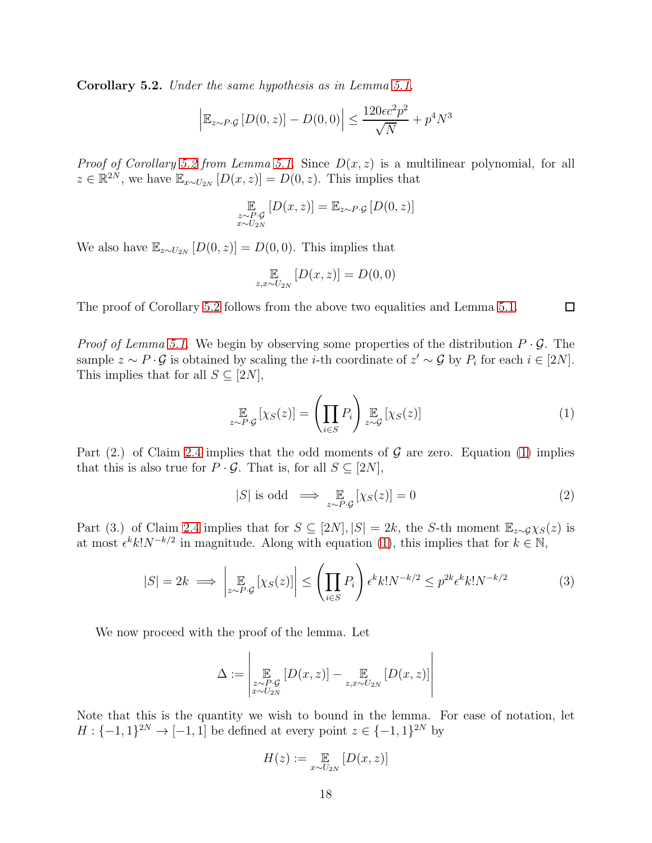Corollary 5.2. Under the same hypothesis as in Lemma [5.1,](#page-16-0)

$$
\left| \mathbb{E}_{z \sim P \cdot \mathcal{G}} \left[ D(0, z) \right] - D(0, 0) \right| \le \frac{120 \epsilon c^2 p^2}{\sqrt{N}} + p^4 N^3
$$

*Proof of Corollary [5.2](#page-16-1) from Lemma [5.1.](#page-16-0)* Since  $D(x, z)$  is a multilinear polynomial, for all  $z \in \mathbb{R}^{2N}$ , we have  $\mathbb{E}_{x \sim U_{2N}}[D(x, z)] = D(0, z)$ . This implies that

$$
\mathop{\mathbb{E}}_{\substack{z \sim P \cdot \mathcal{G} \\ x \sim U_{2N}}} [D(x, z)] = \mathop{\mathbb{E}}_{z \sim P \cdot \mathcal{G}} [D(0, z)]
$$

We also have  $\mathbb{E}_{z \sim U_{2N}} [D(0, z)] = D(0, 0)$ . This implies that

$$
\mathop{\mathbb{E}}_{z,x \sim U_{2N}} [D(x,z)] = D(0,0)
$$

The proof of Corollary [5.2](#page-16-1) follows from the above two equalities and Lemma [5.1.](#page-16-0)

*Proof of Lemma [5.1.](#page-16-0)* We begin by observing some properties of the distribution  $P \cdot \mathcal{G}$ . The sample  $z \sim P \cdot \mathcal{G}$  is obtained by scaling the *i*-th coordinate of  $z' \sim \mathcal{G}$  by  $P_i$  for each  $i \in [2N]$ . This implies that for all  $S \subseteq [2N]$ ,

<span id="page-17-0"></span>
$$
\underset{z \sim P \cdot \mathcal{G}}{\mathbb{E}} \left[ \chi_S(z) \right] = \left( \prod_{i \in S} P_i \right) \underset{z \sim \mathcal{G}}{\mathbb{E}} \left[ \chi_S(z) \right] \tag{1}
$$

 $\Box$ 

Part (2.) of Claim [2.4](#page-12-2) implies that the odd moments of  $\mathcal G$  are zero. Equation [\(1\)](#page-17-0) implies that this is also true for  $P \cdot \mathcal{G}$ . That is, for all  $S \subseteq [2N]$ ,

<span id="page-17-1"></span>
$$
|S| \text{ is odd} \implies \mathop{\mathbb{E}}_{z \sim P \cdot \mathcal{G}} [\chi_S(z)] = 0 \tag{2}
$$

Part (3.) of Claim [2.4](#page-12-2) implies that for  $S \subseteq [2N], |S| = 2k$ , the S-th moment  $\mathbb{E}_{z \sim \mathcal{G}} \chi_S(z)$  is at most  $\epsilon^k k! N^{-k/2}$  in magnitude. Along with equation [\(1\)](#page-17-0), this implies that for  $k \in \mathbb{N}$ ,

<span id="page-17-2"></span>
$$
|S| = 2k \implies \left| \mathop{\mathbb{E}}_{z \sim P \cdot \mathcal{G}} \left[ \chi_S(z) \right] \right| \le \left( \prod_{i \in S} P_i \right) \epsilon^k k! N^{-k/2} \le p^{2k} \epsilon^k k! N^{-k/2} \tag{3}
$$

We now proceed with the proof of the lemma. Let

$$
\Delta := \left| \mathop{\mathbb{E}}_{\substack{z \sim P \cdot \mathcal{G} \\ x \sim U_{2N}}} [D(x, z)] - \mathop{\mathbb{E}}_{z, x \sim U_{2N}} [D(x, z)] \right|
$$

Note that this is the quantity we wish to bound in the lemma. For ease of notation, let  $H: \{-1, 1\}^{2N} \to [-1, 1]$  be defined at every point  $z \in \{-1, 1\}^{2N}$  by

$$
H(z) := \mathop{\mathbb{E}}_{x \sim U_{2N}} [D(x, z)]
$$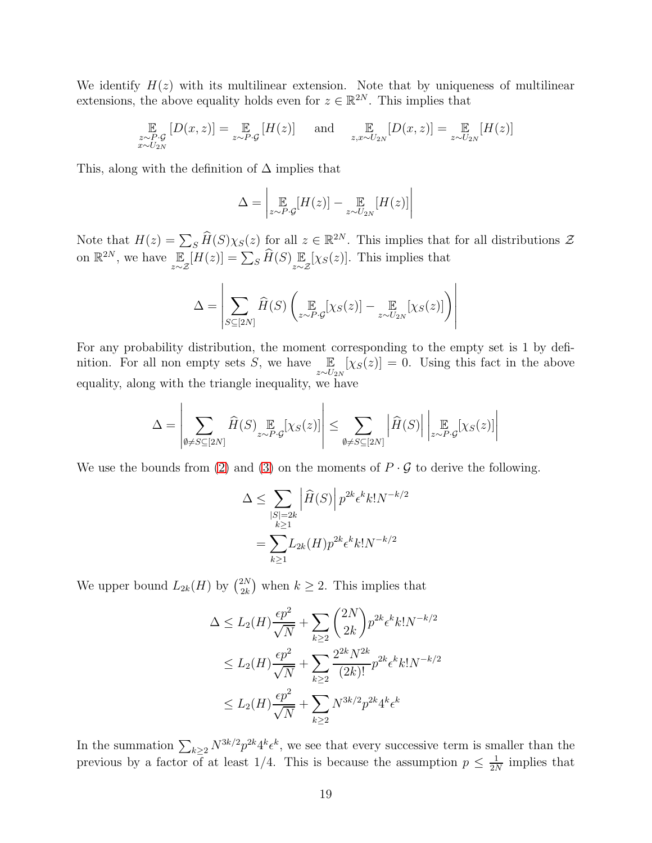We identify  $H(z)$  with its multilinear extension. Note that by uniqueness of multilinear extensions, the above equality holds even for  $z \in \mathbb{R}^{2N}$ . This implies that

$$
\mathop{\mathbb{E}}_{\substack{z \sim P \cdot \mathcal{G} \\ x \sim U_{2N}}} [D(x, z)] = \mathop{\mathbb{E}}_{z \sim P \cdot \mathcal{G}} [H(z)] \quad \text{and} \quad \mathop{\mathbb{E}}_{z, x \sim U_{2N}} [D(x, z)] = \mathop{\mathbb{E}}_{z \sim U_{2N}} [H(z)]
$$

This, along with the definition of  $\Delta$  implies that

$$
\Delta = \left| \mathop{\mathbb{E}}_{z \sim P \cdot \mathcal{G}} [H(z)] - \mathop{\mathbb{E}}_{z \sim U_{2N}} [H(z)] \right|
$$

Note that  $H(z) = \sum_{S} \widehat{H}(S) \chi_{S}(z)$  for all  $z \in \mathbb{R}^{2N}$ . This implies that for all distributions  $\mathcal{Z}$ on  $\mathbb{R}^{2N}$ , we have  $\mathbb E$ z∼Z  $[H(z)] = \sum_{S} \widehat{H}(S) \mathop{\mathbb{E}}_{z \sim \mathcal{Z}}$  $[\chi_S(z)]$ . This implies that

$$
\Delta = \left| \sum_{S \subseteq [2N]} \widehat{H}(S) \left( \underset{z \sim P \cdot \mathcal{G}}{\mathbb{E}} [\chi_S(z)] - \underset{z \sim U_{2N}}{\mathbb{E}} [\chi_S(z)] \right) \right|
$$

For any probability distribution, the moment corresponding to the empty set is 1 by definition. For all non empty sets  $S$ , we have  $\mathbb{E}$  $z \sim U_{2N}$  $[\chi_S(z)] = 0$ . Using this fact in the above equality, along with the triangle inequality, we have

$$
\Delta = \left| \sum_{\emptyset \neq S \subseteq [2N]} \widehat{H}(S) \underset{z \sim P \cdot \mathcal{G}}{\mathbb{E}} [\chi_S(z)] \right| \leq \sum_{\emptyset \neq S \subseteq [2N]} \left| \widehat{H}(S) \right| \left| \underset{z \sim P \cdot \mathcal{G}}{\mathbb{E}} [\chi_S(z)] \right|
$$

We use the bounds from [\(2\)](#page-17-1) and [\(3\)](#page-17-2) on the moments of  $P \cdot \mathcal{G}$  to derive the following.

$$
\Delta \le \sum_{\substack{|S|=2k \ k\ge 1}} \left|\widehat{H}(S)\right| p^{2k} \epsilon^k k! N^{-k/2}
$$

$$
= \sum_{k\ge 1} L_{2k}(H) p^{2k} \epsilon^k k! N^{-k/2}
$$

We upper bound  $L_{2k}(H)$  by  $\binom{2N}{2k}$  $_{2k}^{2N}$ ) when  $k \geq 2$ . This implies that

$$
\Delta \le L_2(H) \frac{\epsilon p^2}{\sqrt{N}} + \sum_{k \ge 2} {2N \choose 2k} p^{2k} \epsilon^k k! N^{-k/2}
$$
  

$$
\le L_2(H) \frac{\epsilon p^2}{\sqrt{N}} + \sum_{k \ge 2} \frac{2^{2k} N^{2k}}{(2k)!} p^{2k} \epsilon^k k! N^{-k/2}
$$
  

$$
\le L_2(H) \frac{\epsilon p^2}{\sqrt{N}} + \sum_{k \ge 2} N^{3k/2} p^{2k} 4^k \epsilon^k
$$

In the summation  $\sum_{k\geq 2} N^{3k/2} p^{2k} 4^k \epsilon^k$ , we see that every successive term is smaller than the previous by a factor of at least 1/4. This is because the assumption  $p \leq \frac{1}{2N}$  $\frac{1}{2N}$  implies that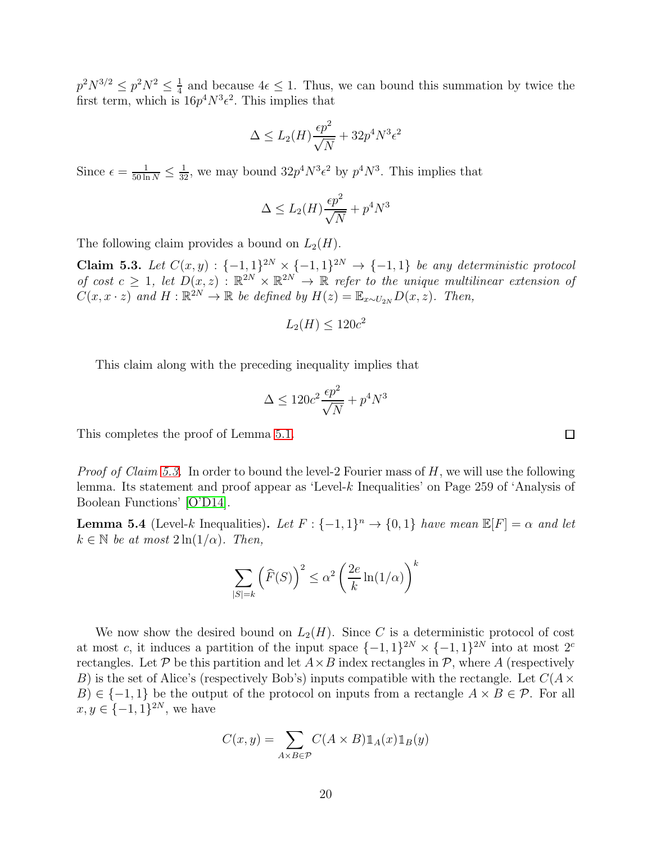$p^2 N^{3/2} \leq p^2 N^2 \leq \frac{1}{4}$  $\frac{1}{4}$  and because  $4\epsilon \leq 1$ . Thus, we can bound this summation by twice the first term, which is  $16p^4N^3\epsilon^2$ . This implies that

$$
\Delta \le L_2(H) \frac{\epsilon p^2}{\sqrt{N}} + 32p^4 N^3 \epsilon^2
$$

Since  $\epsilon = \frac{1}{50 \ln N} \le \frac{1}{32}$ , we may bound  $32p^4N^3\epsilon^2$  by  $p^4N^3$ . This implies that

$$
\Delta \le L_2(H)\frac{\epsilon p^2}{\sqrt{N}} + p^4 N^3
$$

<span id="page-19-0"></span>The following claim provides a bound on  $L_2(H)$ .

Claim 5.3. Let  $C(x, y)$ : {−1, 1}<sup>2N</sup>  $\times$  {−1, 1}<sup>2N</sup>  $\rightarrow$  {−1, 1} be any deterministic protocol of cost  $c \geq 1$ , let  $D(x, z) : \mathbb{R}^{2N} \times \mathbb{R}^{2N} \to \mathbb{R}$  refer to the unique multilinear extension of  $C(x, x \cdot z)$  and  $H : \mathbb{R}^{2N} \to \mathbb{R}$  be defined by  $H(z) = \mathbb{E}_{x \sim U_{2N}} D(x, z)$ . Then,

$$
L_2(H) \le 120c^2
$$

This claim along with the preceding inequality implies that

$$
\Delta \le 120c^2 \frac{\epsilon p^2}{\sqrt{N}} + p^4 N^3
$$

This completes the proof of Lemma [5.1.](#page-16-0)

*Proof of Claim [5.3.](#page-19-0)* In order to bound the level-2 Fourier mass of  $H$ , we will use the following lemma. Its statement and proof appear as 'Level-k Inequalities' on Page 259 of 'Analysis of Boolean Functions' [\[O'D14\]](#page-30-7).

<span id="page-19-1"></span>**Lemma 5.4** (Level-k Inequalities). Let  $F: \{-1, 1\}^n \to \{0, 1\}$  have mean  $\mathbb{E}[F] = \alpha$  and let  $k \in \mathbb{N}$  be at most  $2 \ln(1/\alpha)$ . Then,

$$
\sum_{|S|=k} (\widehat{F}(S))^2 \le \alpha^2 \left(\frac{2e}{k} \ln(1/\alpha)\right)^k
$$

We now show the desired bound on  $L_2(H)$ . Since C is a deterministic protocol of cost at most c, it induces a partition of the input space  $\{-1,1\}^{2N} \times \{-1,1\}^{2N}$  into at most  $2^{c}$ rectangles. Let  $P$  be this partition and let  $A \times B$  index rectangles in  $P$ , where A (respectively B) is the set of Alice's (respectively Bob's) inputs compatible with the rectangle. Let  $C(A \times$  $B \in \{-1,1\}$  be the output of the protocol on inputs from a rectangle  $A \times B \in \mathcal{P}$ . For all  $x, y \in \{-1, 1\}^{2N}$ , we have

$$
C(x, y) = \sum_{A \times B \in \mathcal{P}} C(A \times B) \mathbb{1}_A(x) \mathbb{1}_B(y)
$$

 $\Box$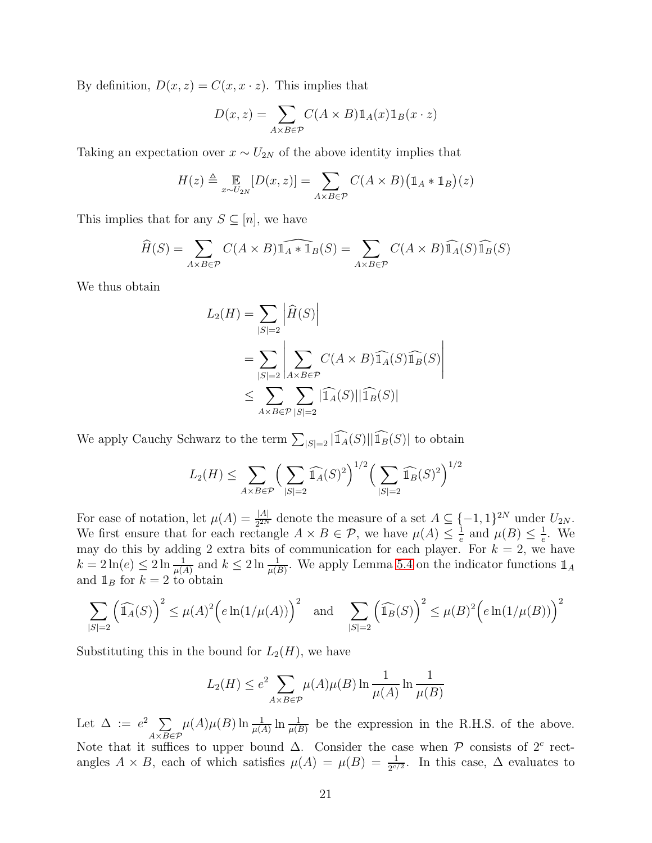By definition,  $D(x, z) = C(x, x \cdot z)$ . This implies that

$$
D(x, z) = \sum_{A \times B \in \mathcal{P}} C(A \times B) \mathbb{1}_A(x) \mathbb{1}_B(x \cdot z)
$$

Taking an expectation over  $x \sim U_{2N}$  of the above identity implies that

$$
H(z) \triangleq \mathop{\mathbb{E}}_{x \sim U_{2N}} [D(x, z)] = \sum_{A \times B \in \mathcal{P}} C(A \times B) (\mathbb{1}_A * \mathbb{1}_B)(z)
$$

This implies that for any  $S \subseteq [n]$ , we have

$$
\widehat{H}(S) = \sum_{A \times B \in \mathcal{P}} C(A \times B) \widehat{\mathbb{1}_A * \mathbb{1}_B}(S) = \sum_{A \times B \in \mathcal{P}} C(A \times B) \widehat{\mathbb{1}_A}(S) \widehat{\mathbb{1}_B}(S)
$$

We thus obtain

$$
L_2(H) = \sum_{|S|=2} \left| \widehat{H}(S) \right|
$$
  
= 
$$
\sum_{|S|=2} \left| \sum_{A \times B \in \mathcal{P}} C(A \times B) \widehat{\mathbb{1}_A}(S) \widehat{\mathbb{1}_B}(S) \right|
$$
  

$$
\leq \sum_{A \times B \in \mathcal{P}} \sum_{|S|=2} \left| \widehat{\mathbb{1}_A}(S) \right| \left| \widehat{\mathbb{1}_B}(S) \right|
$$

We apply Cauchy Schwarz to the term  $\sum_{|S|=2} |\widehat{\mathbb{1}_A}(S)||\widehat{\mathbb{1}_B}(S)|$  to obtain

$$
L_2(H) \le \sum_{A \times B \in \mathcal{P}} \left( \sum_{|S|=2} \widehat{\mathbb{1}_A}(S)^2 \right)^{1/2} \left( \sum_{|S|=2} \widehat{\mathbb{1}_B}(S)^2 \right)^{1/2}
$$

For ease of notation, let  $\mu(A) = \frac{|A|}{2^{2N}}$  denote the measure of a set  $A \subseteq \{-1, 1\}^{2N}$  under  $U_{2N}$ . We first ensure that for each rectangle  $A \times B \in \mathcal{P}$ , we have  $\mu(A) \leq \frac{1}{e}$  and  $\mu(B) \leq \frac{1}{e}$ . We we may do this by adding 2 extra bits of communication for each player. For  $k = 2$ , we have  $k = 2\ln(e) \le 2\ln\frac{1}{\mu(A)}$  and  $k \le 2\ln\frac{1}{\mu(B)}$ . We apply Lemma [5.4](#page-19-1) on the indicator functions  $\mathbb{1}_A$ and  $\mathbb{1}_B$  for  $k = 2$  to obtain

$$
\sum_{|S|=2} \left(\widehat{\mathbb{1}_A}(S)\right)^2 \le \mu(A)^2 \Big(e \ln(1/\mu(A))\Big)^2 \quad \text{and} \quad \sum_{|S|=2} \left(\widehat{\mathbb{1}_B}(S)\right)^2 \le \mu(B)^2 \Big(e \ln(1/\mu(B))\Big)^2
$$

Substituting this in the bound for  $L_2(H)$ , we have

$$
L_2(H) \le e^2 \sum_{A \times B \in \mathcal{P}} \mu(A)\mu(B) \ln \frac{1}{\mu(A)} \ln \frac{1}{\mu(B)}
$$

Let  $\Delta := e^2 \sum$  $A \times B \in \mathcal{P}$  $\mu(A)\mu(B) \ln \frac{1}{\mu(A)} \ln \frac{1}{\mu(B)}$  be the expression in the R.H.S. of the above. Note that it suffices to upper bound  $\Delta$ . Consider the case when P consists of 2<sup>c</sup> rectangles  $A \times B$ , each of which satisfies  $\mu(A) = \mu(B) = \frac{1}{2^{c/2}}$ . In this case,  $\Delta$  evaluates to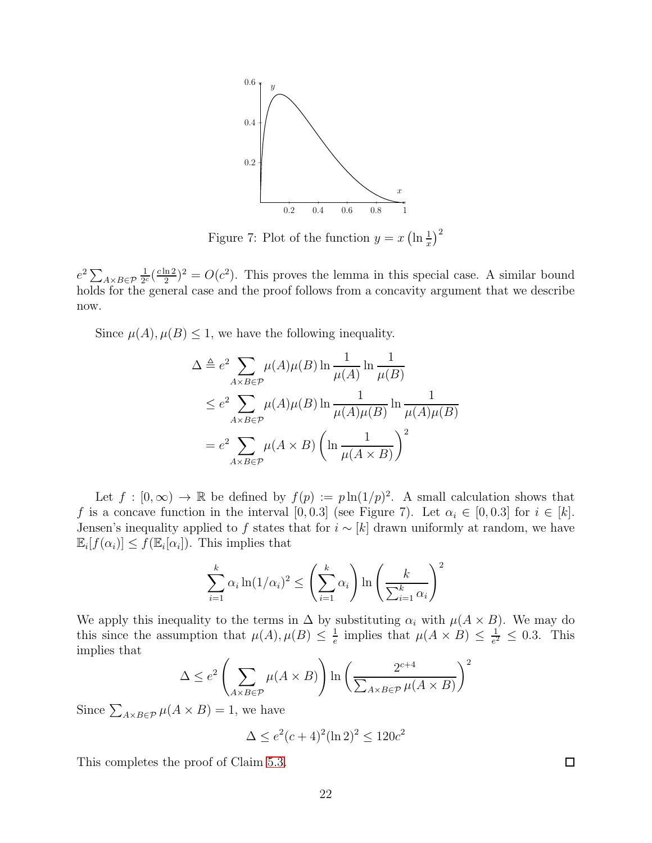

Figure 7: Plot of the function  $y = x \left(\ln \frac{1}{x}\right)^2$ 

 $e^2 \sum_{A \times B \in \mathcal{P}}$ 1  $rac{1}{2^c}(\frac{c\ln 2}{2}$  $\frac{\ln 2}{2}$ )<sup>2</sup> =  $O(c^2)$ . This proves the lemma in this special case. A similar bound holds for the general case and the proof follows from a concavity argument that we describe now.

Since  $\mu(A), \mu(B) \leq 1$ , we have the following inequality.

$$
\Delta \triangleq e^2 \sum_{A \times B \in \mathcal{P}} \mu(A)\mu(B) \ln \frac{1}{\mu(A)} \ln \frac{1}{\mu(B)}
$$
  

$$
\leq e^2 \sum_{A \times B \in \mathcal{P}} \mu(A)\mu(B) \ln \frac{1}{\mu(A)\mu(B)} \ln \frac{1}{\mu(A)\mu(B)}
$$
  

$$
= e^2 \sum_{A \times B \in \mathcal{P}} \mu(A \times B) \left( \ln \frac{1}{\mu(A \times B)} \right)^2
$$

Let  $f : [0, \infty) \to \mathbb{R}$  be defined by  $f(p) := p \ln(1/p)^2$ . A small calculation shows that f is a concave function in the interval [0, 0.3] (see Figure 7). Let  $\alpha_i \in [0, 0.3]$  for  $i \in [k]$ . Jensen's inequality applied to f states that for  $i \sim [k]$  drawn uniformly at random, we have  $\mathbb{E}_i[f(\alpha_i)] \le f(\mathbb{E}_i[\alpha_i])$ . This implies that

$$
\sum_{i=1}^{k} \alpha_i \ln(1/\alpha_i)^2 \le \left(\sum_{i=1}^{k} \alpha_i\right) \ln\left(\frac{k}{\sum_{i=1}^{k} \alpha_i}\right)^2
$$

We apply this inequality to the terms in  $\Delta$  by substituting  $\alpha_i$  with  $\mu(A \times B)$ . We may do this since the assumption that  $\mu(A), \mu(B) \leq \frac{1}{e}$  $\frac{1}{e}$  implies that  $\mu(A \times B) \leq \frac{1}{e^2}$  $\frac{1}{e^2} \leq 0.3$ . This implies that

$$
\Delta \le e^2 \left( \sum_{A \times B \in \mathcal{P}} \mu(A \times B) \right) \ln \left( \frac{2^{c+4}}{\sum_{A \times B \in \mathcal{P}} \mu(A \times B)} \right)^2
$$

Since  $\sum_{A\times B\in\mathcal{P}} \mu(A\times B) = 1$ , we have

$$
\Delta \le e^2(c+4)^2(\ln 2)^2 \le 120c^2
$$

This completes the proof of Claim [5.3.](#page-19-0)

 $\Box$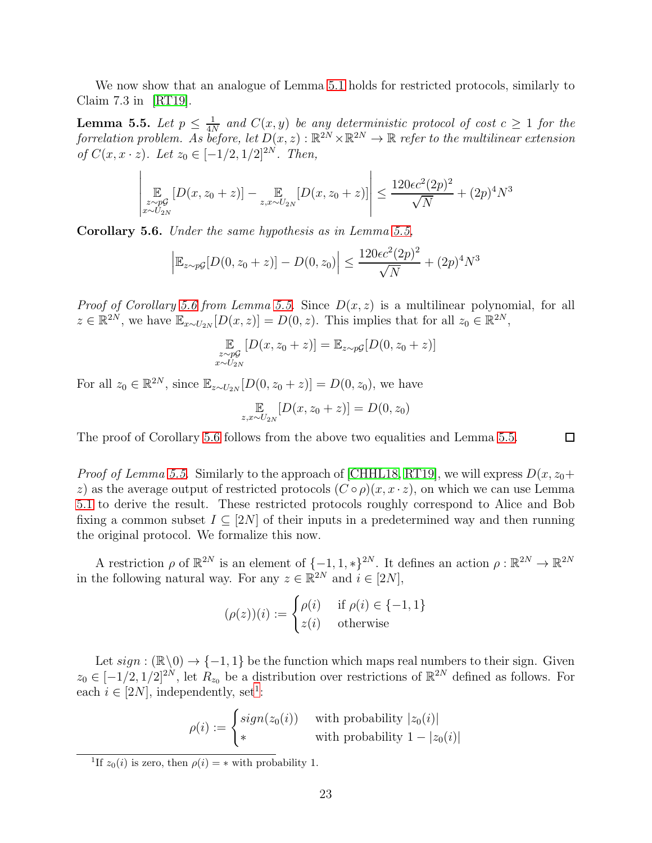<span id="page-22-0"></span>We now show that an analogue of Lemma [5.1](#page-16-0) holds for restricted protocols, similarly to Claim 7.3 in [\[RT19\]](#page-30-2).

**Lemma 5.5.** Let  $p \leq \frac{1}{4l}$  $\frac{1}{4N}$  and  $C(x, y)$  be any deterministic protocol of cost  $c \geq 1$  for the forrelation problem. As before, let  $D(x, z): \mathbb{R}^{2N} \times \mathbb{R}^{2N} \to \mathbb{R}$  refer to the multilinear extension of  $C(x, x \cdot z)$ . Let  $z_0 \in [-1/2, 1/2]^{2N}$ . Then,

$$
\left| \mathop{\mathbb{E}}_{\substack{z \sim pG \\ x \sim U_{2N}}} [D(x, z_0 + z)] - \mathop{\mathbb{E}}_{z, x \sim U_{2N}} [D(x, z_0 + z)] \right| \le \frac{120\epsilon c^2 (2p)^2}{\sqrt{N}} + (2p)^4 N^3
$$

<span id="page-22-1"></span>Corollary 5.6. Under the same hypothesis as in Lemma [5.5,](#page-22-0)

$$
\left| \mathbb{E}_{z \sim p\mathcal{G}} [D(0, z_0 + z)] - D(0, z_0) \right| \le \frac{120\epsilon c^2 (2p)^2}{\sqrt{N}} + (2p)^4 N^3
$$

*Proof of Corollary [5.6](#page-22-1) from Lemma [5.5.](#page-22-0)* Since  $D(x, z)$  is a multilinear polynomial, for all  $z \in \mathbb{R}^{2N}$ , we have  $\mathbb{E}_{x \sim U_{2N}}[D(x, z)] = D(0, z)$ . This implies that for all  $z_0 \in \mathbb{R}^{2N}$ ,

$$
\mathop{\mathbb{E}}_{\substack{z \sim p\mathcal{G} \\ x \sim U_{2N}}} [D(x, z_0 + z)] = \mathop{\mathbb{E}}_{z \sim p\mathcal{G}} [D(0, z_0 + z)]
$$

For all  $z_0 \in \mathbb{R}^{2N}$ , since  $\mathbb{E}_{z \sim U_{2N}}[D(0, z_0 + z)] = D(0, z_0)$ , we have

$$
\mathop{\mathbb{E}}_{z,x \sim U_{2N}} [D(x, z_0 + z)] = D(0, z_0)
$$

The proof of Corollary [5.6](#page-22-1) follows from the above two equalities and Lemma [5.5.](#page-22-0)

*Proof of Lemma [5.5.](#page-22-0)* Similarly to the approach of [\[CHHL18,](#page-30-11) [RT19\]](#page-30-2), we will express  $D(x, z_0+)$ z) as the average output of restricted protocols  $(C \circ \rho)(x, x \cdot z)$ , on which we can use Lemma [5.1](#page-16-0) to derive the result. These restricted protocols roughly correspond to Alice and Bob fixing a common subset  $I \subseteq [2N]$  of their inputs in a predetermined way and then running the original protocol. We formalize this now.

A restriction  $\rho$  of  $\mathbb{R}^{2N}$  is an element of  $\{-1, 1, *\}^{2N}$ . It defines an action  $\rho : \mathbb{R}^{2N} \to \mathbb{R}^{2N}$ in the following natural way. For any  $z \in \mathbb{R}^{2N}$  and  $i \in [2N]$ ,

$$
(\rho(z))(i) := \begin{cases} \rho(i) & \text{if } \rho(i) \in \{-1, 1\} \\ z(i) & \text{otherwise} \end{cases}
$$

Let  $sign : (\mathbb{R} \setminus 0) \to \{-1, 1\}$  be the function which maps real numbers to their sign. Given  $z_0 \in [-1/2, 1/2]^{2N}$ , let  $R_{z_0}$  be a distribution over restrictions of  $\mathbb{R}^{2N}$  defined as follows. For each  $i \in [2N]$ , independently, set<sup>[1](#page-22-2)</sup>:

$$
\rho(i) := \begin{cases} sign(z_0(i)) & \text{with probability } |z_0(i)| \\ * & \text{with probability } 1 - |z_0(i)| \end{cases}
$$

 $\Box$ 

<span id="page-22-2"></span><sup>&</sup>lt;sup>1</sup>If  $z_0(i)$  is zero, then  $\rho(i) = *$  with probability 1.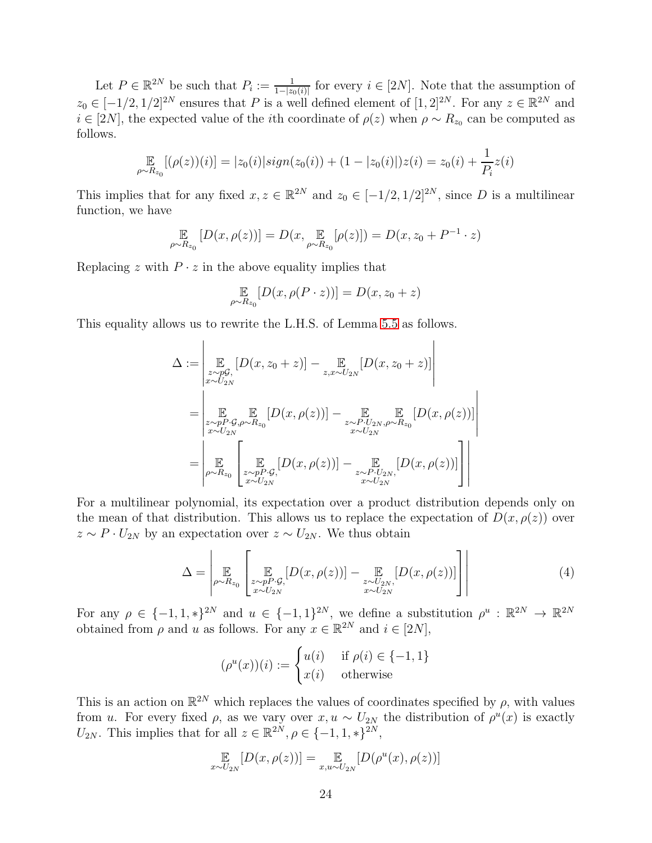Let  $P \in \mathbb{R}^{2N}$  be such that  $P_i := \frac{1}{1-|z_0(i)|}$  for every  $i \in [2N]$ . Note that the assumption of  $z_0 \in [-1/2, 1/2]^{2N}$  ensures that P is a well defined element of  $[1, 2]^{2N}$ . For any  $z \in \mathbb{R}^{2N}$  and  $i \in [2N]$ , the expected value of the *i*th coordinate of  $\rho(z)$  when  $\rho \sim R_{z_0}$  can be computed as follows.

$$
\mathop{\mathbb{E}}_{\rho \sim R_{z_0}} [(\rho(z))(i)] = |z_0(i)| sign(z_0(i)) + (1 - |z_0(i)|)z(i) = z_0(i) + \frac{1}{P_i}z(i)
$$

This implies that for any fixed  $x, z \in \mathbb{R}^{2N}$  and  $z_0 \in [-1/2, 1/2]^{2N}$ , since D is a multilinear function, we have

$$
\mathbb{E}_{\rho \sim R_{z_0}} [D(x, \rho(z))] = D(x, \mathbb{E}_{\rho \sim R_{z_0}} [\rho(z)]) = D(x, z_0 + P^{-1} \cdot z)
$$

Replacing  $z$  with  $P \cdot z$  in the above equality implies that

 $\mathbf{I}$ 

$$
\mathop{\mathbb{E}}\limits_{\rho \sim R_{z_0}}[D(x, \rho(P \cdot z))] = D(x, z_0 + z)
$$

This equality allows us to rewrite the L.H.S. of Lemma [5.5](#page-22-0) as follows.

$$
\Delta := \left| \mathop{\mathbb{E}}_{\substack{z \sim p\mathcal{G}, \\ x \sim U_{2N}}} [D(x, z_0 + z)] - \mathop{\mathbb{E}}_{z, x \sim U_{2N}} [D(x, z_0 + z)] \right|
$$
  
\n
$$
= \left| \mathop{\mathbb{E}}_{\substack{z \sim pP \cdot \mathcal{G}, \rho \sim R_{z_0} \\ x \sim U_{2N}}} [D(x, \rho(z))] - \mathop{\mathbb{E}}_{\substack{z \sim P \cdot U_{2N}, \rho \sim R_{z_0} \\ x \sim U_{2N}}} [D(x, \rho(z))] \right|
$$
  
\n
$$
= \left| \mathop{\mathbb{E}}_{\substack{p \sim R_{z_0} \\ x \sim P_{2N}}} \left[ \mathop{\mathbb{E}}_{\substack{z \sim pP \cdot \mathcal{G}, \\ x \sim U_{2N}}} [D(x, \rho(z))] - \mathop{\mathbb{E}}_{\substack{z \sim P \cdot U_{2N}, \\ x \sim U_{2N}}} [D(x, \rho(z))] \right] \right|
$$

For a multilinear polynomial, its expectation over a product distribution depends only on the mean of that distribution. This allows us to replace the expectation of  $D(x, \rho(z))$  over  $z \sim P \cdot U_{2N}$  by an expectation over  $z \sim U_{2N}$ . We thus obtain

<span id="page-23-0"></span>
$$
\Delta = \left| \mathop{\mathbb{E}}_{\rho \sim R_{z_0}} \left[ \mathop{\mathbb{E}}_{z \sim p P \cdot \mathcal{G}, \atop x \sim U_{2N}} [D(x, \rho(z))] - \mathop{\mathbb{E}}_{z \sim U_{2N}, \atop x \sim U_{2N}} [D(x, \rho(z))] \right] \right| \tag{4}
$$

For any  $\rho \in \{-1, 1, *\}^{2N}$  and  $u \in \{-1, 1\}^{2N}$ , we define a substitution  $\rho^u : \mathbb{R}^{2N} \to \mathbb{R}^{2N}$ obtained from  $\rho$  and u as follows. For any  $x \in \mathbb{R}^{2N}$  and  $i \in [2N]$ ,

$$
(\rho^u(x))(i) := \begin{cases} u(i) & \text{if } \rho(i) \in \{-1, 1\} \\ x(i) & \text{otherwise} \end{cases}
$$

This is an action on  $\mathbb{R}^{2N}$  which replaces the values of coordinates specified by  $\rho$ , with values from u. For every fixed  $\rho$ , as we vary over  $x, u \sim U_{2N}$  the distribution of  $\rho^u(x)$  is exactly  $U_{2N}$ . This implies that for all  $z \in \mathbb{R}^{2N}$ ,  $\rho \in \{-1, 1, *\}^{2N}$ ,

$$
\mathop{\mathbb{E}}_{x \sim U_{2N}}[D(x,\rho(z))] = \mathop{\mathbb{E}}_{x,u \sim U_{2N}}[D(\rho^u(x),\rho(z))]
$$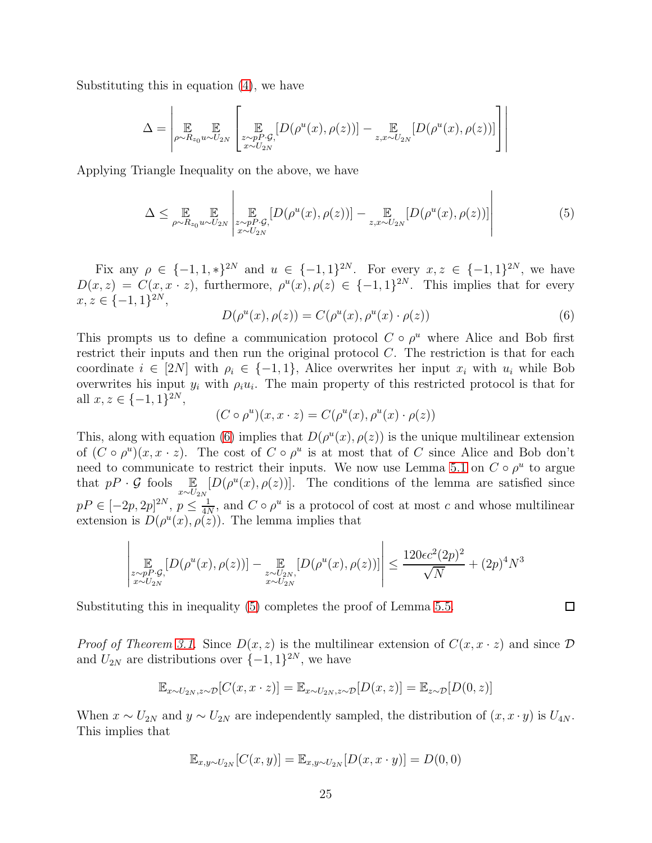Substituting this in equation [\(4\)](#page-23-0), we have

$$
\Delta = \left| \mathop{\mathbb{E}}_{\rho \sim R_{z_0} u \sim U_{2N}} \left[ \mathop{\mathbb{E}}_{\substack{z \sim pP \cdot \mathcal{G}, \\ x \sim U_{2N}}} [D(\rho^u(x), \rho(z))] - \mathop{\mathbb{E}}_{z, x \sim U_{2N}} [D(\rho^u(x), \rho(z))] \right] \right|
$$

Applying Triangle Inequality on the above, we have

<span id="page-24-1"></span>
$$
\Delta \leq \mathop{\mathbb{E}}_{\rho \sim R_{z_0} u \sim U_{2N}} \left| \mathop{\mathbb{E}}_{\substack{z \sim pP \cdot \mathcal{G}, \\ x \sim U_{2N}}} [D(\rho^u(x), \rho(z))] - \mathop{\mathbb{E}}_{z, x \sim U_{2N}} [D(\rho^u(x), \rho(z))] \right| \tag{5}
$$

Fix any  $\rho \in \{-1, 1, *\}^{2N}$  and  $u \in \{-1, 1\}^{2N}$ . For every  $x, z \in \{-1, 1\}^{2N}$ , we have  $D(x, z) = C(x, x \cdot z)$ , furthermore,  $\rho^u(x), \rho(z) \in \{-1, 1\}^{2N}$ . This implies that for every  $x, z \in \{-1, 1\}^{2N},$ 

<span id="page-24-0"></span>
$$
D(\rho^u(x), \rho(z)) = C(\rho^u(x), \rho^u(x) \cdot \rho(z))
$$
\n(6)

 $\mathbf{I}$ 

This prompts us to define a communication protocol  $C \circ \rho^u$  where Alice and Bob first restrict their inputs and then run the original protocol C. The restriction is that for each coordinate  $i \in [2N]$  with  $\rho_i \in \{-1,1\}$ , Alice overwrites her input  $x_i$  with  $u_i$  while Bob overwrites his input  $y_i$  with  $\rho_i u_i$ . The main property of this restricted protocol is that for all  $x, z \in \{-1, 1\}^{2N}$ ,

$$
(C \circ \rho^u)(x, x \cdot z) = C(\rho^u(x), \rho^u(x) \cdot \rho(z))
$$

This, along with equation [\(6\)](#page-24-0) implies that  $D(\rho^u(x), \rho(z))$  is the unique multilinear extension of  $(C \circ \rho^u)(x, x \cdot z)$ . The cost of  $C \circ \rho^u$  is at most that of C since Alice and Bob don't need to communicate to restrict their inputs. We now use Lemma [5.1](#page-16-0) on  $C \circ \rho^u$  to argue that  $pP \cdot \mathcal{G}$  fools  $\mathbb{E}_{x \sim U_{2N}}$  $[D(\rho^u(x), \rho(z))]$ . The conditions of the lemma are satisfied since  $pP \in [-2p, 2p]^{2N}, p \leq \frac{1}{4N}$  $\frac{1}{4N}$ , and  $C \circ \rho^u$  is a protocol of cost at most c and whose multilinear extension is  $D(\rho^u(x), \rho(z))$ . The lemma implies that

$$
\left| \mathop{\mathbb{E}}_{\substack{z \sim pP \cdot \mathcal{G}, \\ x \sim U_{2N}}} [D(\rho^u(x), \rho(z))] - \mathop{\mathbb{E}}_{\substack{z \sim U_{2N}, \\ x \sim U_{2N}}} [D(\rho^u(x), \rho(z))] \right| \le \frac{120 \epsilon c^2 (2p)^2}{\sqrt{N}} + (2p)^4 N^3
$$

Substituting this in inequality [\(5\)](#page-24-1) completes the proof of Lemma [5.5.](#page-22-0)

*Proof of Theorem [3.1.](#page-12-1)* Since  $D(x, z)$  is the multilinear extension of  $C(x, x \cdot z)$  and since  $D$ and  $U_{2N}$  are distributions over  $\{-1,1\}^{2N}$ , we have

$$
\mathbb{E}_{x \sim U_{2N}, z \sim \mathcal{D}}[C(x, x \cdot z)] = \mathbb{E}_{x \sim U_{2N}, z \sim \mathcal{D}}[D(x, z)] = \mathbb{E}_{z \sim \mathcal{D}}[D(0, z)]
$$

When  $x \sim U_{2N}$  and  $y \sim U_{2N}$  are independently sampled, the distribution of  $(x, x \cdot y)$  is  $U_{4N}$ . This implies that

$$
\mathbb{E}_{x,y \sim U_{2N}}[C(x,y)] = \mathbb{E}_{x,y \sim U_{2N}}[D(x,x \cdot y)] = D(0,0)
$$

 $\Box$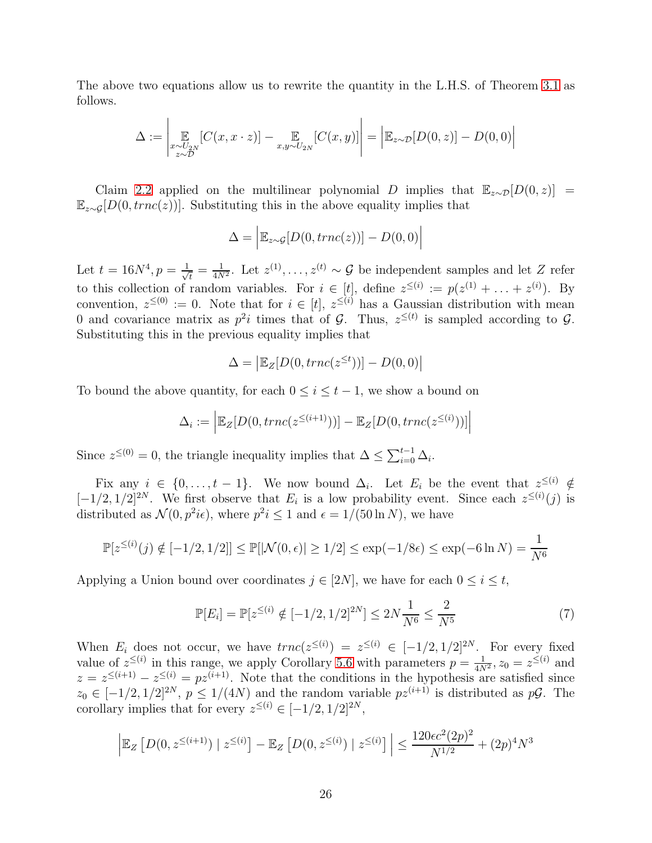The above two equations allow us to rewrite the quantity in the L.H.S. of Theorem [3.1](#page-12-1) as follows.

$$
\Delta := \left| \mathop{\mathbb{E}}_{\substack{x \sim U_{2N} \\ z \sim D}} [C(x, x \cdot z)] - \mathop{\mathbb{E}}_{\substack{x, y \sim U_{2N} \\ z \sim D}} [C(x, y)] \right| = \left| \mathop{\mathbb{E}}_{z \sim D} [D(0, z)] - D(0, 0) \right|
$$

Claim [2.2](#page-11-0) applied on the multilinear polynomial D implies that  $\mathbb{E}_{z\sim\mathcal{D}}[D(0, z)] =$  $\mathbb{E}_{z\sim G}[D(0, trnc(z))]$ . Substituting this in the above equality implies that

$$
\Delta = \left| \mathbb{E}_{z \sim \mathcal{G}}[D(0, trnc(z))] - D(0, 0) \right|
$$

Let  $t = 16N^4, p = \frac{1}{\sqrt{2}}$  $\tau_{\overline{t}} = \frac{1}{4N^2}$ . Let  $z^{(1)}, \ldots, z^{(t)} \sim \mathcal{G}$  be independent samples and let Z refer to this collection of random variables. For  $i \in [t]$ , define  $z^{\leq (i)} := p(z^{(1)} + \ldots + z^{(i)})$ . By convention,  $z^{\leq (0)} := 0$ . Note that for  $i \in [t], z^{\leq (i)}$  has a Gaussian distribution with mean 0 and covariance matrix as  $p^2i$  times that of  $\mathcal{G}$ . Thus,  $z^{\leq (t)}$  is sampled according to  $\mathcal{G}$ . Substituting this in the previous equality implies that

$$
\Delta = \left| \mathbb{E}_Z[D(0, \text{trnc}(z^{\leq t})) \right] - D(0, 0) \right|
$$

To bound the above quantity, for each  $0 \leq i \leq t-1$ , we show a bound on

$$
\Delta_i := \left| \mathbb{E}_Z[D(0, \operatorname{trnc}(z^{\leq (i+1)}))] - \mathbb{E}_Z[D(0, \operatorname{trnc}(z^{\leq (i)}))] \right|
$$

Since  $z^{\leq (0)} = 0$ , the triangle inequality implies that  $\Delta \leq \sum_{i=0}^{t-1} \Delta_i$ .

Fix any  $i \in \{0, \ldots, t-1\}$ . We now bound  $\Delta_i$ . Let  $E_i$  be the event that  $z^{\leq (i)} \notin$  $[-1/2, 1/2]^{2N}$ . We first observe that  $E_i$  is a low probability event. Since each  $z^{\leq i}(j)$  is distributed as  $\mathcal{N}(0, p^2 i \epsilon)$ , where  $p^2 i \leq 1$  and  $\epsilon = 1/(50 \ln N)$ , we have

$$
\mathbb{P}[z^{\leq (i)}(j) \notin [-1/2, 1/2]] \leq \mathbb{P}[|\mathcal{N}(0, \epsilon)| \geq 1/2] \leq \exp(-1/8\epsilon) \leq \exp(-6\ln N) = \frac{1}{N^6}
$$

Applying a Union bound over coordinates  $j \in [2N]$ , we have for each  $0 \leq i \leq t$ ,

<span id="page-25-0"></span>
$$
\mathbb{P}[E_i] = \mathbb{P}[z^{\leq (i)} \notin [-1/2, 1/2]^{2N}] \leq 2N \frac{1}{N^6} \leq \frac{2}{N^5}
$$
 (7)

When  $E_i$  does not occur, we have  $trnc(z^{\leq i}) = z^{\leq i} \in [-1/2, 1/2]^{2N}$ . For every fixed value of  $z^{\leq(i)}$  in this range, we apply Corollary [5.6](#page-22-1) with parameters  $p = \frac{1}{4N^2}$ ,  $z_0 = z^{\leq(i)}$  and  $z = z^{\leq (i+1)} - z^{\leq (i)} = pz^{(i+1)}$ . Note that the conditions in the hypothesis are satisfied since  $z_0 \in [-1/2, 1/2]^{2N}$ ,  $p \le 1/(4N)$  and the random variable  $pz^{(i+1)}$  is distributed as  $p\mathcal{G}$ . The corollary implies that for every  $z^{\leq(i)} \in [-1/2, 1/2]^{2N}$ ,

$$
\left| \mathbb{E}_Z \left[ D(0, z^{\leq (i+1)}) \mid z^{\leq (i)} \right] - \mathbb{E}_Z \left[ D(0, z^{\leq (i)}) \mid z^{\leq (i)} \right] \right| \leq \frac{120\epsilon c^2 (2p)^2}{N^{1/2}} + (2p)^4 N^3
$$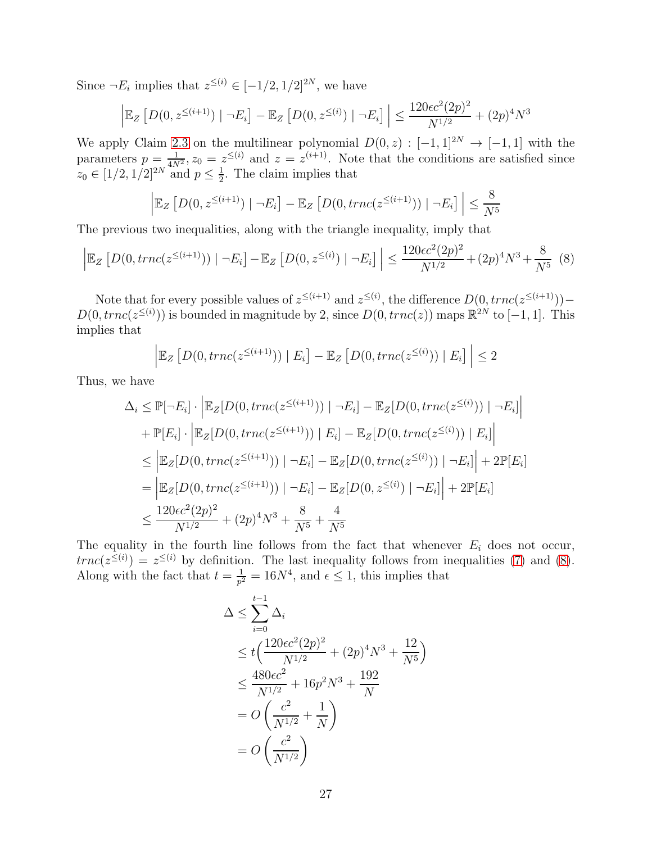Since  $\neg E_i$  implies that  $z^{\leq (i)} \in [-1/2, 1/2]^{2N}$ , we have

$$
\left| \mathbb{E}_Z \left[ D(0, z^{\leq (i+1)}) \mid \neg E_i \right] - \mathbb{E}_Z \left[ D(0, z^{\leq (i)}) \mid \neg E_i \right] \right| \leq \frac{120 \epsilon c^2 (2p)^2}{N^{1/2}} + (2p)^4 N^3
$$

We apply Claim [2.3](#page-12-0) on the multilinear polynomial  $D(0, z) : [-1, 1]^{2N} \rightarrow [-1, 1]$  with the parameters  $p = \frac{1}{4N^2}$ ,  $z_0 = z^{\leq (i)}$  and  $z = z^{(i+1)}$ . Note that the conditions are satisfied since  $z_0 \in [1/2, 1/2]^{2N}$  and  $p \leq \frac{1}{2}$  $\frac{1}{2}$ . The claim implies that

$$
\left| \mathbb{E}_Z \left[ D(0, z^{\leq (i+1)}) \mid \neg E_i \right] - \mathbb{E}_Z \left[ D(0, \operatorname{tr} n c(z^{\leq (i+1)})) \mid \neg E_i \right] \right| \leq \frac{8}{N^5}
$$

The previous two inequalities, along with the triangle inequality, imply that

<span id="page-26-0"></span>
$$
\left| \mathbb{E}_Z \left[ D(0, \operatorname{tr} n c(z^{\leq (i+1)})) \mid \neg E_i \right] - \mathbb{E}_Z \left[ D(0, z^{\leq (i)}) \mid \neg E_i \right] \right| \leq \frac{120 \epsilon c^2 (2p)^2}{N^{1/2}} + (2p)^4 N^3 + \frac{8}{N^5} \tag{8}
$$

Note that for every possible values of  $z^{\leq (i+1)}$  and  $z^{\leq (i)}$ , the difference  $D(0, true(z^{\leq (i+1)}))$  –  $D(0, true(z^{\leq (i)}))$  is bounded in magnitude by 2, since  $D(0, true(z))$  maps  $\mathbb{R}^{2N}$  to  $[-1, 1]$ . This implies that

$$
\left| \mathbb{E}_Z \left[ D(0, \operatorname{tr} n c(z^{\leq (i+1)})) \mid E_i \right] - \mathbb{E}_Z \left[ D(0, \operatorname{tr} n c(z^{\leq (i)})) \mid E_i \right] \right| \leq 2
$$

Thus, we have

$$
\Delta_i \leq \mathbb{P}[\neg E_i] \cdot \left| \mathbb{E}_Z[D(0, trnc(z^{\leq (i+1)}))] \right| \neg E_i] - \mathbb{E}_Z[D(0, trnc(z^{\leq (i)}))] \left| \neg E_i \right| \right| \n+ \mathbb{P}[E_i] \cdot \left| \mathbb{E}_Z[D(0, trnc(z^{\leq (i+1)}))] \right| E_i] - \mathbb{E}_Z[D(0, trnc(z^{\leq (i)}))] \left| E_i \right| \right| \n\leq \left| \mathbb{E}_Z[D(0, trnc(z^{\leq (i+1)}))] \right| \neg E_i] - \mathbb{E}_Z[D(0, trnc(z^{\leq (i)}))] \left| \neg E_i \right| + 2\mathbb{P}[E_i] \n= \left| \mathbb{E}_Z[D(0, trnc(z^{\leq (i+1)}))] \right| \neg E_i] - \mathbb{E}_Z[D(0, z^{\leq (i)})] \left| \neg E_i \right| + 2\mathbb{P}[E_i] \n\leq \frac{120\epsilon c^2(2p)^2}{N^{1/2}} + (2p)^4 N^3 + \frac{8}{N^5} + \frac{4}{N^5}
$$

The equality in the fourth line follows from the fact that whenever  $E_i$  does not occur,  $trnc(z^{\leq(i)}) = z^{\leq(i)}$  by definition. The last inequality follows from inequalities [\(7\)](#page-25-0) and [\(8\)](#page-26-0). Along with the fact that  $t = \frac{1}{n^2}$  $\frac{1}{p^2} = 16N^4$ , and  $\epsilon \leq 1$ , this implies that

$$
\Delta \le \sum_{i=0}^{t-1} \Delta_i
$$
  
\n
$$
\le t \Big( \frac{120\epsilon c^2 (2p)^2}{N^{1/2}} + (2p)^4 N^3 + \frac{12}{N^5} \Big)
$$
  
\n
$$
\le \frac{480\epsilon c^2}{N^{1/2}} + 16p^2 N^3 + \frac{192}{N}
$$
  
\n
$$
= O\left(\frac{c^2}{N^{1/2}} + \frac{1}{N}\right)
$$
  
\n
$$
= O\left(\frac{c^2}{N^{1/2}}\right)
$$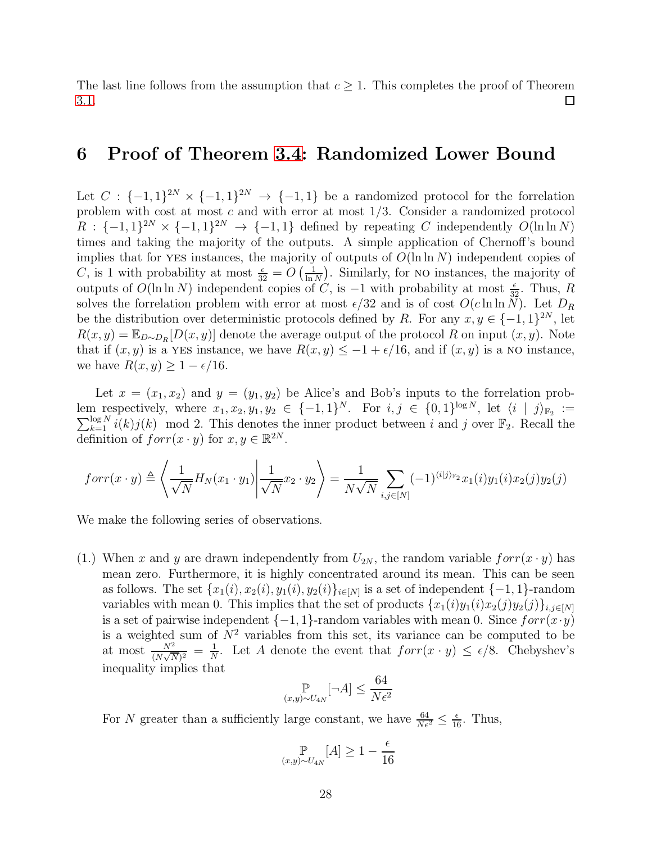The last line follows from the assumption that  $c \geq 1$ . This completes the proof of Theorem 3.1. [3.1.](#page-12-1)

### 6 Proof of Theorem [3.4:](#page-13-1) Randomized Lower Bound

Let  $C: \{-1,1\}^{2N} \times \{-1,1\}^{2N} \to \{-1,1\}$  be a randomized protocol for the forrelation problem with cost at most c and with error at most 1/3. Consider a randomized protocol  $R: \{-1,1\}^{2N} \times \{-1,1\}^{2N} \to \{-1,1\}$  defined by repeating C independently  $O(\ln \ln N)$ times and taking the majority of the outputs. A simple application of Chernoff's bound implies that for YES instances, the majority of outputs of  $O(\ln \ln N)$  independent copies of C, is 1 with probability at most  $\frac{\epsilon}{32} = O\left(\frac{1}{\ln 2}\right)$  $\frac{1}{\ln N}$ ). Similarly, for no instances, the majority of outputs of  $O(\ln \ln N)$  independent copies of C, is  $-1$  with probability at most  $\frac{\epsilon}{32}$ . Thus, R solves the forrelation problem with error at most  $\epsilon/32$  and is of cost  $O(c \ln \ln N)$ . Let  $D_R$ be the distribution over deterministic protocols defined by R. For any  $x, y \in \{-1, 1\}^{2N}$ , let  $R(x, y) = \mathbb{E}_{D \sim D_R}[D(x, y)]$  denote the average output of the protocol R on input  $(x, y)$ . Note that if  $(x, y)$  is a YES instance, we have  $R(x, y) \le -1 + \epsilon/16$ , and if  $(x, y)$  is a NO instance, we have  $R(x, y) \geq 1 - \epsilon/16$ .

Let  $x = (x_1, x_2)$  and  $y = (y_1, y_2)$  be Alice's and Bob's inputs to the forrelation problem respectively, where  $x_1, x_2, y_1, y_2 \in \{-1, 1\}^N$ . For  $i, j \in \{0, 1\}^{\log N}$ , let  $\langle i | j \rangle_{\mathbb{F}_2} := \sum_{k=1}^{\log N} i(k) j(k) \mod 2$ . This denotes the inner product between i and j over  $\mathbb{F}_2$ . Recall the definition of  $forr(x \cdot y)$  for  $x, y \in \mathbb{R}^{2N}$ .

$$
for r(x \cdot y) \triangleq \left\langle \frac{1}{\sqrt{N}} H_N(x_1 \cdot y_1) \middle| \frac{1}{\sqrt{N}} x_2 \cdot y_2 \right\rangle = \frac{1}{N\sqrt{N}} \sum_{i,j \in [N]} (-1)^{\langle i | j \rangle_{\mathbb{F}_2}} x_1(i) y_1(i) x_2(j) y_2(j)
$$

We make the following series of observations.

(1.) When x and y are drawn independently from  $U_{2N}$ , the random variable  $forr(x \cdot y)$  has mean zero. Furthermore, it is highly concentrated around its mean. This can be seen as follows. The set  $\{x_1(i), x_2(i), y_1(i), y_2(i)\}_{i \in [N]}$  is a set of independent  $\{-1, 1\}$ -random variables with mean 0. This implies that the set of products  $\{x_1(i)y_1(i)x_2(j)y_2(j)\}_{i,j\in[N]}$ is a set of pairwise independent  $\{-1, 1\}$ -random variables with mean 0. Since  $forr(x \cdot y)$ is a weighted sum of  $N^2$  variables from this set, its variance can be computed to be at most  $\frac{N^2}{(N\sqrt{N})^2} = \frac{1}{N}$  $\frac{1}{N}$ . Let A denote the event that  $forr(x \cdot y) \leq \epsilon/8$ . Chebyshev's inequality implies that

$$
\mathbb{P}_{(x,y)\sim U_{4N}}[\neg A] \le \frac{64}{N\epsilon^2}
$$

For N greater than a sufficiently large constant, we have  $\frac{64}{N\epsilon^2} \leq \frac{\epsilon}{16}$ . Thus,

$$
\underset{(x,y)\sim U_{4N}}{\mathbb{P}}[A]\geq 1-\frac{\epsilon}{16}
$$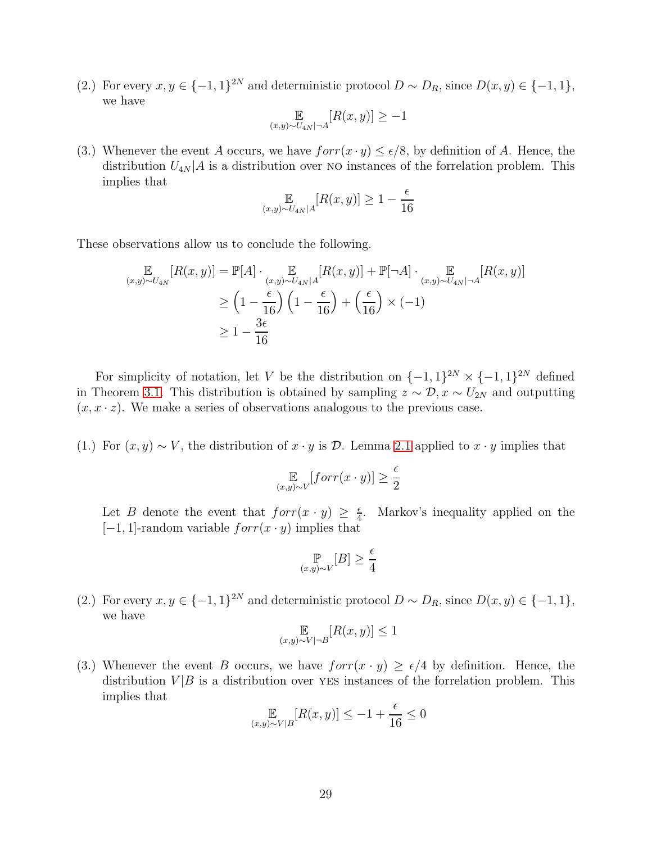(2.) For every  $x, y \in \{-1, 1\}^{2N}$  and deterministic protocol  $D \sim D_R$ , since  $D(x, y) \in \{-1, 1\}$ , we have

$$
\mathop{\mathbb{E}}_{(x,y)\sim U_{4N}|\neg A}[R(x,y)] \geq -1
$$

(3.) Whenever the event A occurs, we have  $forr(x \cdot y) \leq \epsilon/8$ , by definition of A. Hence, the distribution  $U_{4N}$  a is a distribution over NO instances of the forrelation problem. This implies that

$$
\mathbb{E}_{(x,y)\sim U_{4N}|A}[R(x,y)] \ge 1 - \frac{\epsilon}{16}
$$

These observations allow us to conclude the following.

$$
\mathbb{E}_{(x,y)\sim U_{4N}}[R(x,y)] = \mathbb{P}[A] \cdot \mathbb{E}_{(x,y)\sim U_{4N}|A} [R(x,y)] + \mathbb{P}[\neg A] \cdot \mathbb{E}_{(x,y)\sim U_{4N}|\neg A} [R(x,y)]
$$
  
\n
$$
\geq \left(1 - \frac{\epsilon}{16}\right) \left(1 - \frac{\epsilon}{16}\right) + \left(\frac{\epsilon}{16}\right) \times (-1)
$$
  
\n
$$
\geq 1 - \frac{3\epsilon}{16}
$$

For simplicity of notation, let V be the distribution on  $\{-1,1\}^{2N} \times \{-1,1\}^{2N}$  defined in Theorem [3.1.](#page-12-1) This distribution is obtained by sampling  $z \sim \mathcal{D}, x \sim U_{2N}$  and outputting  $(x, x \cdot z)$ . We make a series of observations analogous to the previous case.

(1.) For  $(x, y) \sim V$ , the distribution of  $x \cdot y$  is D. Lemma [2.1](#page-11-1) applied to  $x \cdot y$  implies that

$$
\mathop{\mathbb{E}}_{(x,y)\sim V}[forr(x \cdot y)] \ge \frac{\epsilon}{2}
$$

Let B denote the event that  $forr(x \cdot y) \geq \frac{\epsilon}{4}$  $\frac{\epsilon}{4}$ . Markov's inequality applied on the  $[-1, 1]$ -random variable  $forr(x \cdot y)$  implies that

$$
\mathbb{P}_{(x,y)\sim V}[B] \ge \frac{\epsilon}{4}
$$

(2.) For every  $x, y \in \{-1, 1\}^{2N}$  and deterministic protocol  $D \sim D_R$ , since  $D(x, y) \in \{-1, 1\}$ , we have

$$
\mathop{\mathbb{E}}_{(x,y)\sim V|\neg B}[R(x,y)] \le 1
$$

(3.) Whenever the event B occurs, we have  $forr(x \cdot y) \ge \epsilon/4$  by definition. Hence, the distribution  $V/B$  is a distribution over YES instances of the forrelation problem. This implies that

$$
\mathop{\mathbb{E}}_{(x,y)\sim V|B}[R(x,y)] \le -1 + \frac{\epsilon}{16} \le 0
$$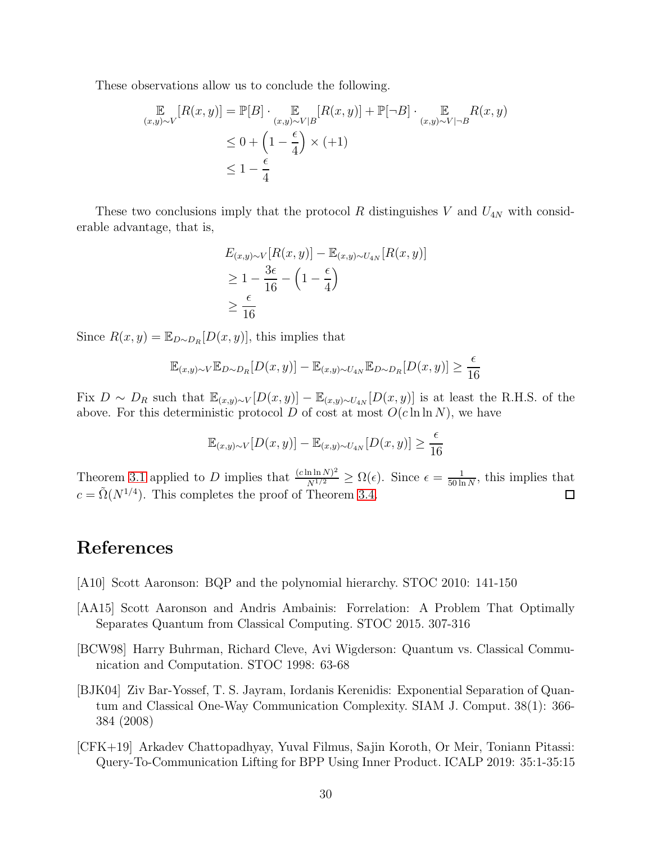These observations allow us to conclude the following.

$$
\mathbb{E}_{(x,y)\sim V}[R(x,y)] = \mathbb{P}[B] \cdot \mathbb{E}_{(x,y)\sim V|B}[R(x,y)] + \mathbb{P}[\neg B] \cdot \mathbb{E}_{(x,y)\sim V|\neg B}R(x,y)
$$
  
\n
$$
\leq 0 + \left(1 - \frac{\epsilon}{4}\right) \times (+1)
$$
  
\n
$$
\leq 1 - \frac{\epsilon}{4}
$$

These two conclusions imply that the protocol R distinguishes V and  $U_{4N}$  with considerable advantage, that is,

$$
E_{(x,y)\sim V}[R(x,y)] - \mathbb{E}_{(x,y)\sim U_{4N}}[R(x,y)]
$$
  
\n
$$
\geq 1 - \frac{3\epsilon}{16} - \left(1 - \frac{\epsilon}{4}\right)
$$
  
\n
$$
\geq \frac{\epsilon}{16}
$$

Since  $R(x, y) = \mathbb{E}_{D \sim D_R}[D(x, y)]$ , this implies that

$$
\mathbb{E}_{(x,y)\sim V}\mathbb{E}_{D\sim D_R}[D(x,y)] - \mathbb{E}_{(x,y)\sim U_{4N}}\mathbb{E}_{D\sim D_R}[D(x,y)] \ge \frac{\epsilon}{16}
$$

Fix  $D \sim D_R$  such that  $\mathbb{E}_{(x,y)\sim V}[D(x,y)] - \mathbb{E}_{(x,y)\sim U_{4N}}[D(x,y)]$  is at least the R.H.S. of the above. For this deterministic protocol D of cost at most  $O(c \ln \ln N)$ , we have

$$
\mathbb{E}_{(x,y)\sim V}[D(x,y)] - \mathbb{E}_{(x,y)\sim U_{4N}}[D(x,y)] \ge \frac{\epsilon}{16}
$$

Theorem [3.1](#page-12-1) applied to D implies that  $\frac{(c \ln \ln N)^2}{N^{1/2}} \ge \Omega(\epsilon)$ . Since  $\epsilon = \frac{1}{50 \ln n}$  $\frac{1}{50 \ln N}$ , this implies that  $c = \tilde{\Omega}(N^{1/4})$ . This completes the proof of Theorem [3.4.](#page-13-1)

### References

- <span id="page-29-3"></span>[A10] Scott Aaronson: BQP and the polynomial hierarchy. STOC 2010: 141-150
- <span id="page-29-4"></span>[AA15] Scott Aaronson and Andris Ambainis: Forrelation: A Problem That Optimally Separates Quantum from Classical Computing. STOC 2015. 307-316
- <span id="page-29-1"></span>[BCW98] Harry Buhrman, Richard Cleve, Avi Wigderson: Quantum vs. Classical Communication and Computation. STOC 1998: 63-68
- <span id="page-29-2"></span>[BJK04] Ziv Bar-Yossef, T. S. Jayram, Iordanis Kerenidis: Exponential Separation of Quantum and Classical One-Way Communication Complexity. SIAM J. Comput. 38(1): 366- 384 (2008)
- <span id="page-29-0"></span>[CFK+19] Arkadev Chattopadhyay, Yuval Filmus, Sajin Koroth, Or Meir, Toniann Pitassi: Query-To-Communication Lifting for BPP Using Inner Product. ICALP 2019: 35:1-35:15